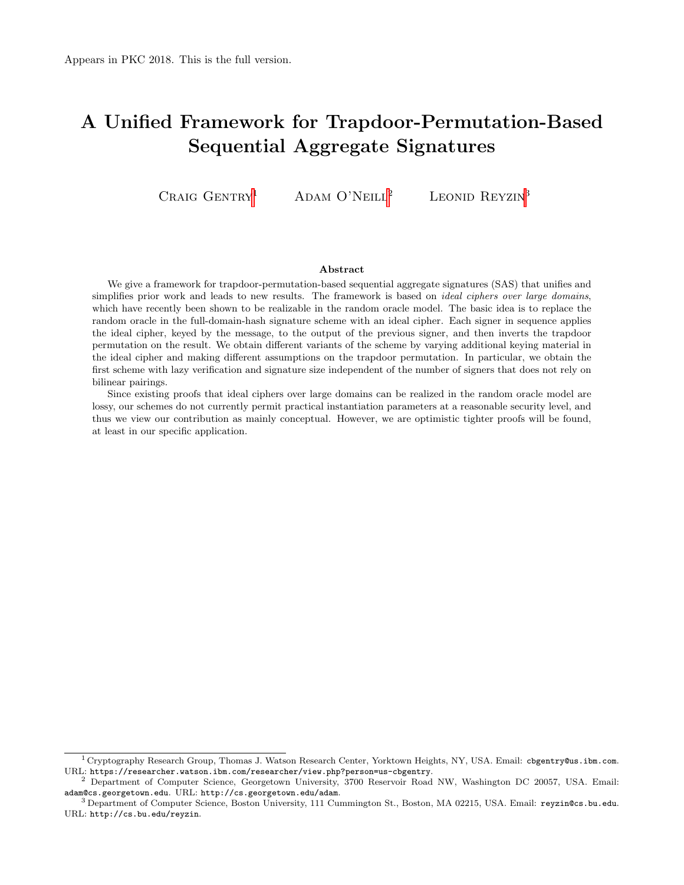# <span id="page-0-1"></span><span id="page-0-0"></span>A Unified Framework for Trapdoor-Permutation-Based Sequential Aggregate Signatures

CRAIG  $G$ ENTRY<sup>1</sup> ADAM O'NEILL<sup>2</sup> LEONID REYZIN<sup>3</sup>

#### Abstract

We give a framework for trapdoor-permutation-based sequential aggregate signatures (SAS) that unifies and simplifies prior work and leads to new results. The framework is based on *ideal ciphers over large domains*, which have recently been shown to be realizable in the random oracle model. The basic idea is to replace the random oracle in the full-domain-hash signature scheme with an ideal cipher. Each signer in sequence applies the ideal cipher, keyed by the message, to the output of the previous signer, and then inverts the trapdoor permutation on the result. We obtain different variants of the scheme by varying additional keying material in the ideal cipher and making different assumptions on the trapdoor permutation. In particular, we obtain the first scheme with lazy verification and signature size independent of the number of signers that does not rely on bilinear pairings.

Since existing proofs that ideal ciphers over large domains can be realized in the random oracle model are lossy, our schemes do not currently permit practical instantiation parameters at a reasonable security level, and thus we view our contribution as mainly conceptual. However, we are optimistic tighter proofs will be found, at least in our specific application.

<sup>1</sup> Cryptography Research Group, Thomas J. Watson Research Center, Yorktown Heights, NY, USA. Email: cbgentry@us.ibm.com. URL: https://researcher.watson.ibm.com/researcher/view.php?person=us-cbgentry.

<sup>2</sup> Department of Computer Science, Georgetown University, 3700 Reservoir Road NW, Washington DC 20057, USA. Email: adam@cs.georgetown.edu. URL: http://cs.georgetown.edu/adam.

<sup>3</sup> Department of Computer Science, Boston University, 111 Cummington St., Boston, MA 02215, USA. Email: reyzin@cs.bu.edu. URL: http://cs.bu.edu/reyzin.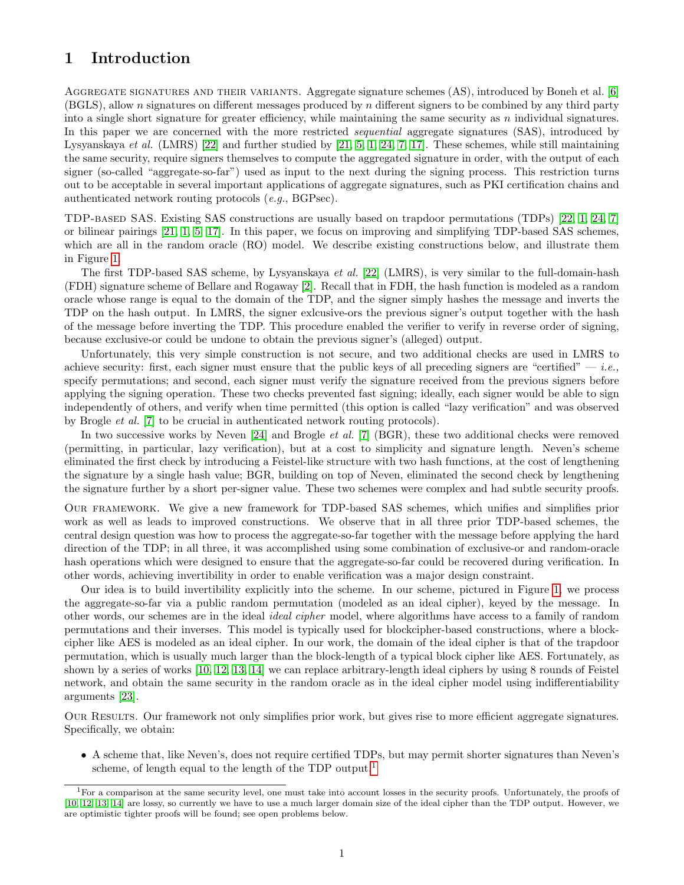# 1 Introduction

AGGREGATE SIGNATURES AND THEIR VARIANTS. Aggregate signature schemes (AS), introduced by Boneh et al. [\[6\]](#page-15-0) (BGLS), allow n signatures on different messages produced by n different signers to be combined by any third party into a single short signature for greater efficiency, while maintaining the same security as  $n$  individual signatures. In this paper we are concerned with the more restricted *sequential* aggregate signatures (SAS), introduced by Lysyanskaya et al. (LMRS) [\[22\]](#page-16-0) and further studied by [\[21,](#page-16-1) [5,](#page-15-1) [1,](#page-15-2) [24,](#page-16-2) [7,](#page-15-3) [17\]](#page-16-3). These schemes, while still maintaining the same security, require signers themselves to compute the aggregated signature in order, with the output of each signer (so-called "aggregate-so-far") used as input to the next during the signing process. This restriction turns out to be acceptable in several important applications of aggregate signatures, such as PKI certification chains and authenticated network routing protocols (e.g., BGPsec).

TDP-based SAS. Existing SAS constructions are usually based on trapdoor permutations (TDPs) [\[22,](#page-16-0) [1,](#page-15-2) [24,](#page-16-2) [7\]](#page-15-3) or bilinear pairings [\[21,](#page-16-1) [1,](#page-15-2) [5,](#page-15-1) [17\]](#page-16-3). In this paper, we focus on improving and simplifying TDP-based SAS schemes, which are all in the random oracle (RO) model. We describe existing constructions below, and illustrate them in Figure [1.](#page-2-0)

The first TDP-based SAS scheme, by Lysyanskaya et al. [\[22\]](#page-16-0) (LMRS), is very similar to the full-domain-hash (FDH) signature scheme of Bellare and Rogaway [\[2\]](#page-15-4). Recall that in FDH, the hash function is modeled as a random oracle whose range is equal to the domain of the TDP, and the signer simply hashes the message and inverts the TDP on the hash output. In LMRS, the signer exlcusive-ors the previous signer's output together with the hash of the message before inverting the TDP. This procedure enabled the verifier to verify in reverse order of signing, because exclusive-or could be undone to obtain the previous signer's (alleged) output.

Unfortunately, this very simple construction is not secure, and two additional checks are used in LMRS to achieve security: first, each signer must ensure that the public keys of all preceding signers are "certified"  $-i.e.,$ specify permutations; and second, each signer must verify the signature received from the previous signers before applying the signing operation. These two checks prevented fast signing; ideally, each signer would be able to sign independently of others, and verify when time permitted (this option is called "lazy verification" and was observed by Brogle et al. [\[7\]](#page-15-3) to be crucial in authenticated network routing protocols).

In two successive works by Neven [\[24\]](#page-16-2) and Brogle *et al.* [\[7\]](#page-15-3) (BGR), these two additional checks were removed (permitting, in particular, lazy verification), but at a cost to simplicity and signature length. Neven's scheme eliminated the first check by introducing a Feistel-like structure with two hash functions, at the cost of lengthening the signature by a single hash value; BGR, building on top of Neven, eliminated the second check by lengthening the signature further by a short per-signer value. These two schemes were complex and had subtle security proofs.

Our framework. We give a new framework for TDP-based SAS schemes, which unifies and simplifies prior work as well as leads to improved constructions. We observe that in all three prior TDP-based schemes, the central design question was how to process the aggregate-so-far together with the message before applying the hard direction of the TDP; in all three, it was accomplished using some combination of exclusive-or and random-oracle hash operations which were designed to ensure that the aggregate-so-far could be recovered during verification. In other words, achieving invertibility in order to enable verification was a major design constraint.

Our idea is to build invertibility explicitly into the scheme. In our scheme, pictured in Figure [1,](#page-2-0) we process the aggregate-so-far via a public random permutation (modeled as an ideal cipher), keyed by the message. In other words, our schemes are in the ideal ideal cipher model, where algorithms have access to a family of random permutations and their inverses. This model is typically used for blockcipher-based constructions, where a blockcipher like AES is modeled as an ideal cipher. In our work, the domain of the ideal cipher is that of the trapdoor permutation, which is usually much larger than the block-length of a typical block cipher like AES. Fortunately, as shown by a series of works [\[10,](#page-15-5) [12,](#page-15-6) [13,](#page-15-7) [14\]](#page-15-8) we can replace arbitrary-length ideal ciphers by using 8 rounds of Feistel network, and obtain the same security in the random oracle as in the ideal cipher model using indifferentiability arguments [\[23\]](#page-16-4).

Our Results. Our framework not only simplifies prior work, but gives rise to more efficient aggregate signatures. Specifically, we obtain:

• A scheme that, like Neven's, does not require certified TDPs, but may permit shorter signatures than Neven's scheme, of length equal to the length of the TDP output.<sup>[1](#page-0-0)</sup>

<sup>&</sup>lt;sup>1</sup>For a comparison at the same security level, one must take into account losses in the security proofs. Unfortunately, the proofs of [\[10,](#page-15-5) [12,](#page-15-6) [13,](#page-15-7) [14\]](#page-15-8) are lossy, so currently we have to use a much larger domain size of the ideal cipher than the TDP output. However, we are optimistic tighter proofs will be found; see open problems below.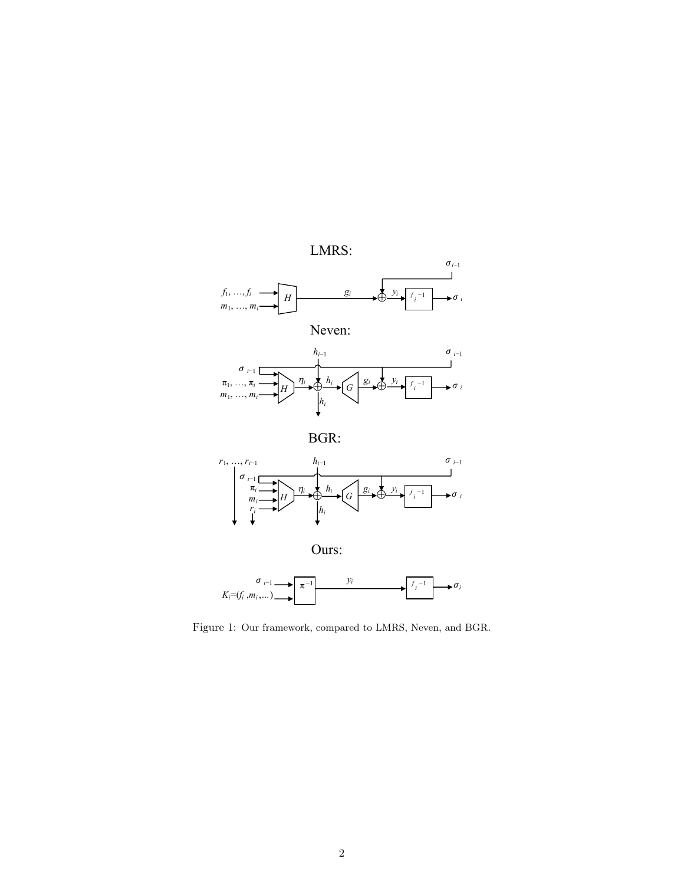

<span id="page-2-0"></span>Figure 1: Our framework, compared to LMRS, Neven, and BGR.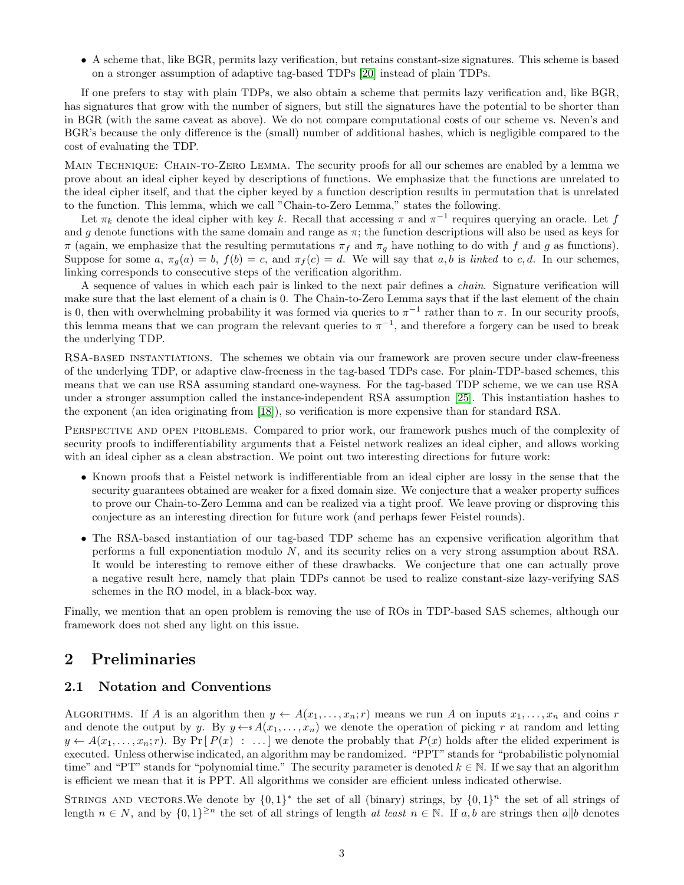<span id="page-3-0"></span>• A scheme that, like BGR, permits lazy verification, but retains constant-size signatures. This scheme is based on a stronger assumption of adaptive tag-based TDPs [\[20\]](#page-16-5) instead of plain TDPs.

If one prefers to stay with plain TDPs, we also obtain a scheme that permits lazy verification and, like BGR, has signatures that grow with the number of signers, but still the signatures have the potential to be shorter than in BGR (with the same caveat as above). We do not compare computational costs of our scheme vs. Neven's and BGR's because the only difference is the (small) number of additional hashes, which is negligible compared to the cost of evaluating the TDP.

Main Technique: Chain-to-Zero Lemma. The security proofs for all our schemes are enabled by a lemma we prove about an ideal cipher keyed by descriptions of functions. We emphasize that the functions are unrelated to the ideal cipher itself, and that the cipher keyed by a function description results in permutation that is unrelated to the function. This lemma, which we call "Chain-to-Zero Lemma," states the following.

Let  $\pi_k$  denote the ideal cipher with key k. Recall that accessing  $\pi$  and  $\pi^{-1}$  requires querying an oracle. Let f and g denote functions with the same domain and range as  $\pi$ ; the function descriptions will also be used as keys for  $π$  (again, we emphasize that the resulting permutations  $π<sub>f</sub>$  and  $π<sub>g</sub>$  have nothing to do with f and g as functions). Suppose for some a,  $\pi_a(a) = b$ ,  $f(b) = c$ , and  $\pi_f(c) = d$ . We will say that a, b is linked to c, d. In our schemes, linking corresponds to consecutive steps of the verification algorithm.

A sequence of values in which each pair is linked to the next pair defines a chain. Signature verification will make sure that the last element of a chain is 0. The Chain-to-Zero Lemma says that if the last element of the chain is 0, then with overwhelming probability it was formed via queries to  $\pi^{-1}$  rather than to  $\pi$ . In our security proofs, this lemma means that we can program the relevant queries to  $\pi^{-1}$ , and therefore a forgery can be used to break the underlying TDP.

RSA-based instantiations. The schemes we obtain via our framework are proven secure under claw-freeness of the underlying TDP, or adaptive claw-freeness in the tag-based TDPs case. For plain-TDP-based schemes, this means that we can use RSA assuming standard one-wayness. For the tag-based TDP scheme, we we can use RSA under a stronger assumption called the instance-independent RSA assumption [\[25\]](#page-16-6). This instantiation hashes to the exponent (an idea originating from [\[18\]](#page-16-7)), so verification is more expensive than for standard RSA.

PERSPECTIVE AND OPEN PROBLEMS. Compared to prior work, our framework pushes much of the complexity of security proofs to indifferentiability arguments that a Feistel network realizes an ideal cipher, and allows working with an ideal cipher as a clean abstraction. We point out two interesting directions for future work:

- Known proofs that a Feistel network is indifferentiable from an ideal cipher are lossy in the sense that the security guarantees obtained are weaker for a fixed domain size. We conjecture that a weaker property suffices to prove our Chain-to-Zero Lemma and can be realized via a tight proof. We leave proving or disproving this conjecture as an interesting direction for future work (and perhaps fewer Feistel rounds).
- The RSA-based instantiation of our tag-based TDP scheme has an expensive verification algorithm that performs a full exponentiation modulo N, and its security relies on a very strong assumption about RSA. It would be interesting to remove either of these drawbacks. We conjecture that one can actually prove a negative result here, namely that plain TDPs cannot be used to realize constant-size lazy-verifying SAS schemes in the RO model, in a black-box way.

Finally, we mention that an open problem is removing the use of ROs in TDP-based SAS schemes, although our framework does not shed any light on this issue.

# 2 Preliminaries

#### 2.1 Notation and Conventions

ALGORITHMS. If A is an algorithm then  $y \leftarrow A(x_1, \ldots, x_n; r)$  means we run A on inputs  $x_1, \ldots, x_n$  and coins r and denote the output by y. By  $y \leftarrow s A(x_1, \ldots, x_n)$  we denote the operation of picking r at random and letting  $y \leftarrow A(x_1, \ldots, x_n; r)$ . By Pr  $[P(x) : \ldots]$  we denote the probably that  $P(x)$  holds after the elided experiment is executed. Unless otherwise indicated, an algorithm may be randomized. "PPT" stands for "probabilistic polynomial time" and "PT" stands for "polynomial time." The security parameter is denoted  $k \in \mathbb{N}$ . If we say that an algorithm is efficient we mean that it is PPT. All algorithms we consider are efficient unless indicated otherwise.

STRINGS AND VECTORS. We denote by  $\{0,1\}^*$  the set of all (binary) strings, by  $\{0,1\}^n$  the set of all strings of length  $n \in N$ , and by  $\{0,1\}^{\geq n}$  the set of all strings of length at least  $n \in \mathbb{N}$ . If a, b are strings then a||b denotes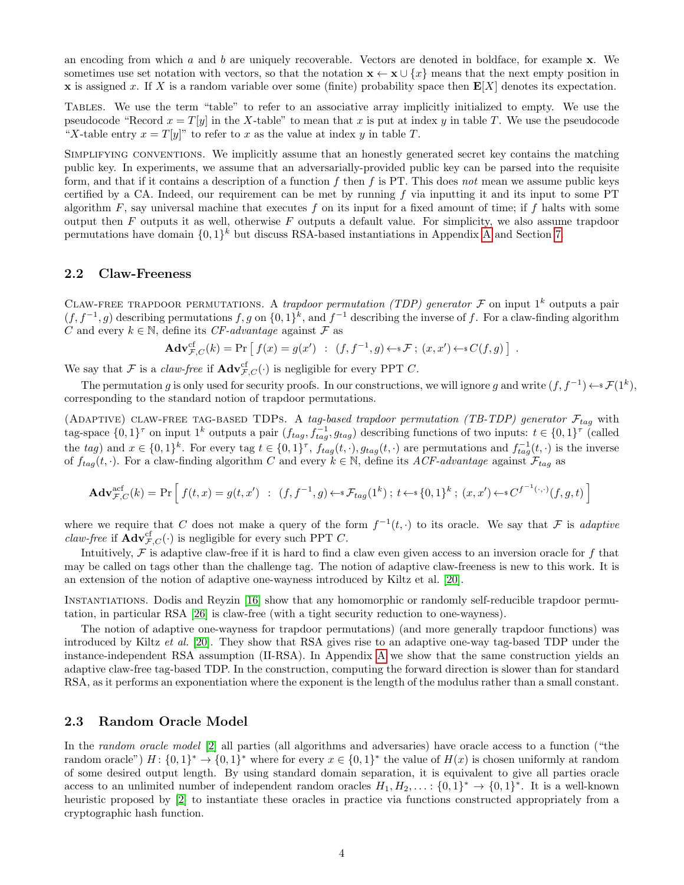<span id="page-4-0"></span>an encoding from which  $a$  and  $b$  are uniquely recoverable. Vectors are denoted in boldface, for example  $x$ . We sometimes use set notation with vectors, so that the notation  $\mathbf{x} \leftarrow \mathbf{x} \cup \{x\}$  means that the next empty position in x is assigned x. If X is a random variable over some (finite) probability space then  $E[X]$  denotes its expectation.

Tables. We use the term "table" to refer to an associative array implicitly initialized to empty. We use the pseudocode "Record  $x = T[y]$  in the X-table" to mean that x is put at index y in table T. We use the pseudocode "X-table entry  $x = T[y]$ " to refer to x as the value at index y in table T.

Simplifying conventions. We implicitly assume that an honestly generated secret key contains the matching public key. In experiments, we assume that an adversarially-provided public key can be parsed into the requisite form, and that if it contains a description of a function  $f$  then  $f$  is PT. This does not mean we assume public keys certified by a CA. Indeed, our requirement can be met by running  $f$  via inputting it and its input to some PT algorithm  $F$ , say universal machine that executes  $f$  on its input for a fixed amount of time; if  $f$  halts with some output then  $F$  outputs it as well, otherwise  $F$  outputs a default value. For simplicity, we also assume trapdoor permutations have domain  $\{0,1\}^k$  but discuss RSA-based instantiations in [A](#page-16-8)ppendix A and Section [7.](#page-13-0)

#### 2.2 Claw-Freeness

CLAW-FREE TRAPDOOR PERMUTATIONS. A trapdoor permutation (TDP) generator  $\mathcal F$  on input  $1^k$  outputs a pair  $(f, f^{-1}, g)$  describing permutations  $f, g$  on  $\{0, 1\}^k$ , and  $f^{-1}$  describing the inverse of f. For a claw-finding algorithm C and every  $k \in \mathbb{N}$ , define its CF-advantage against F as

$$
\mathbf{Adv}_{\mathcal{F},C}^{\mathrm{cf}}(k) = \Pr\left[\ f(x) = g(x') \ : \ (f, f^{-1}, g) \leftarrow^* \mathcal{F}; \ (x, x') \leftarrow^* C(f, g) \right]
$$

We say that F is a *claw-free* if  $\text{Adv}_{\mathcal{F},C}^{\text{cf}}(\cdot)$  is negligible for every PPT C.

The permutation g is only used for security proofs. In our constructions, we will ignore g and write  $(f, f^{-1}) \leftarrow f(1^k)$ , corresponding to the standard notion of trapdoor permutations.

.

(ADAPTIVE) CLAW-FREE TAG-BASED TDPS. A tag-based trapdoor permutation (TB-TDP) generator  $\mathcal{F}_{tag}$  with tag-space  $\{0,1\}^{\tau}$  on input  $1^k$  outputs a pair  $(f_{tag}, f_{tag}^{-1}, g_{tag})$  describing functions of two inputs:  $t \in \{0,1\}^{\tau}$  (called the tag) and  $x \in \{0,1\}^k$ . For every tag  $t \in \{0,1\}^{\tau}$ ,  $f_{tag}(t,\cdot)$ ,  $g_{tag}(t,\cdot)$  are permutations and  $f_{tag}^{-1}(t,\cdot)$  is the inverse of  $f_{tag}(t, \cdot)$ . For a claw-finding algorithm C and every  $k \in \mathbb{N}$ , define its ACF-advantage against  $\mathcal{F}_{tag}$  as

$$
\mathbf{Adv}_{\mathcal{F},C}^{\text{act}}(k) = \Pr\left[f(t,x) = g(t,x') \ : \ (f,f^{-1},g) \leftarrow s\mathcal{F}_{tag}(1^k) \ ; \ t \leftarrow s\{0,1\}^k \ ; \ (x,x') \leftarrow sC^{f^{-1}(\cdot,\cdot)}(f,g,t)\right]
$$

where we require that C does not make a query of the form  $f^{-1}(t, \cdot)$  to its oracle. We say that F is *adaptive claw-free* if  $\mathbf{Adv}_{\mathcal{F},C}^{\text{cf}}(\cdot)$  is negligible for every such PPT C.

Intuitively,  $\mathcal F$  is adaptive claw-free if it is hard to find a claw even given access to an inversion oracle for  $f$  that may be called on tags other than the challenge tag. The notion of adaptive claw-freeness is new to this work. It is an extension of the notion of adaptive one-wayness introduced by Kiltz et al. [\[20\]](#page-16-5).

Instantiations. Dodis and Reyzin [\[16\]](#page-16-9) show that any homomorphic or randomly self-reducible trapdoor permutation, in particular RSA [\[26\]](#page-16-10) is claw-free (with a tight security reduction to one-wayness).

The notion of adaptive one-wayness for trapdoor permutations) (and more generally trapdoor functions) was introduced by Kiltz et al. [\[20\]](#page-16-5). They show that RSA gives rise to an adaptive one-way tag-based TDP under the instance-independent RSA assumption (II-RSA). In Appendix [A](#page-16-8) we show that the same construction yields an adaptive claw-free tag-based TDP. In the construction, computing the forward direction is slower than for standard RSA, as it performs an exponentiation where the exponent is the length of the modulus rather than a small constant.

#### 2.3 Random Oracle Model

In the *random oracle model* [\[2\]](#page-15-4) all parties (all algorithms and adversaries) have oracle access to a function ("the random oracle")  $H: \{0,1\}^* \to \{0,1\}^*$  where for every  $x \in \{0,1\}^*$  the value of  $H(x)$  is chosen uniformly at random of some desired output length. By using standard domain separation, it is equivalent to give all parties oracle access to an unlimited number of independent random oracles  $H_1, H_2, \ldots$ :  $\{0,1\}^* \to \{0,1\}^*$ . It is a well-known heuristic proposed by [\[2\]](#page-15-4) to instantiate these oracles in practice via functions constructed appropriately from a cryptographic hash function.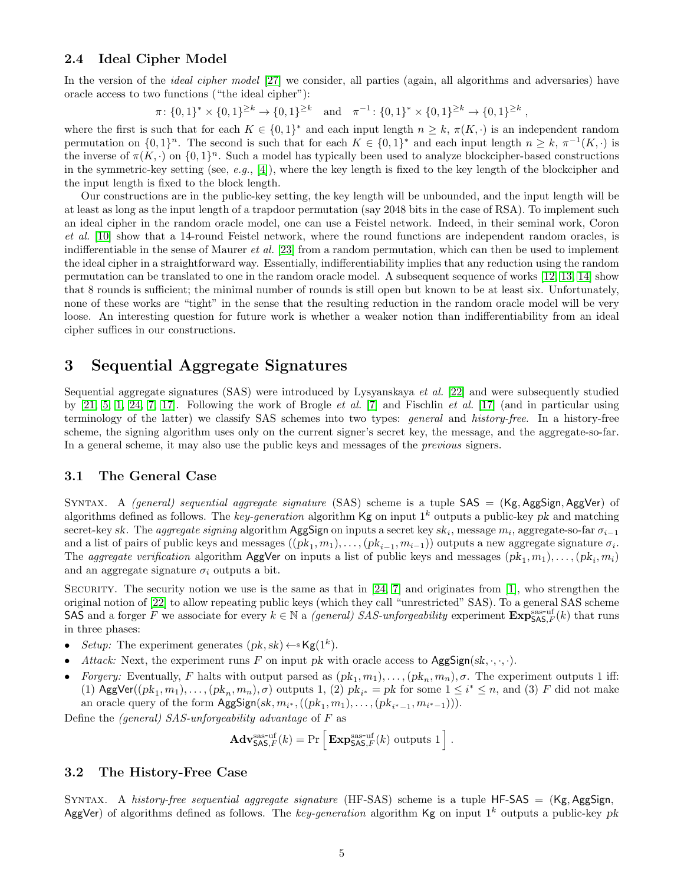#### <span id="page-5-0"></span>2.4 Ideal Cipher Model

In the version of the *ideal cipher model* [\[27\]](#page-16-11) we consider, all parties (again, all algorithms and adversaries) have oracle access to two functions ("the ideal cipher"):

$$
\pi \colon \{0,1\}^* \times \{0,1\}^{\geq k} \to \{0,1\}^{\geq k} \quad \text{and} \quad \pi^{-1} \colon \{0,1\}^* \times \{0,1\}^{\geq k} \to \{0,1\}^{\geq k},
$$

where the first is such that for each  $K \in \{0,1\}^*$  and each input length  $n \geq k, \pi(K, \cdot)$  is an independent random permutation on  $\{0,1\}^n$ . The second is such that for each  $K \in \{0,1\}^*$  and each input length  $n \geq k$ ,  $\pi^{-1}(K, \cdot)$  is the inverse of  $\pi(K, \cdot)$  on  $\{0, 1\}^n$ . Such a model has typically been used to analyze blockcipher-based constructions in the symmetric-key setting (see, e.g., [\[4\]](#page-15-9)), where the key length is fixed to the key length of the blockcipher and the input length is fixed to the block length.

Our constructions are in the public-key setting, the key length will be unbounded, and the input length will be at least as long as the input length of a trapdoor permutation (say 2048 bits in the case of RSA). To implement such an ideal cipher in the random oracle model, one can use a Feistel network. Indeed, in their seminal work, Coron et al. [\[10\]](#page-15-5) show that a 14-round Feistel network, where the round functions are independent random oracles, is indifferentiable in the sense of Maurer et al. [\[23\]](#page-16-4) from a random permutation, which can then be used to implement the ideal cipher in a straightforward way. Essentially, indifferentiability implies that any reduction using the random permutation can be translated to one in the random oracle model. A subsequent sequence of works [\[12,](#page-15-6) [13,](#page-15-7) [14\]](#page-15-8) show that 8 rounds is sufficient; the minimal number of rounds is still open but known to be at least six. Unfortunately, none of these works are "tight" in the sense that the resulting reduction in the random oracle model will be very loose. An interesting question for future work is whether a weaker notion than indifferentiability from an ideal cipher suffices in our constructions.

# 3 Sequential Aggregate Signatures

Sequential aggregate signatures (SAS) were introduced by Lysyanskaya et al. [\[22\]](#page-16-0) and were subsequently studied by  $[21, 5, 1, 24, 7, 17]$  $[21, 5, 1, 24, 7, 17]$  $[21, 5, 1, 24, 7, 17]$  $[21, 5, 1, 24, 7, 17]$  $[21, 5, 1, 24, 7, 17]$  $[21, 5, 1, 24, 7, 17]$ . Following the work of Brogle *et al.* [\[7\]](#page-15-3) and Fischlin *et al.* [\[17\]](#page-16-3) (and in particular using terminology of the latter) we classify SAS schemes into two types: general and history-free. In a history-free scheme, the signing algorithm uses only on the current signer's secret key, the message, and the aggregate-so-far. In a general scheme, it may also use the public keys and messages of the previous signers.

#### 3.1 The General Case

SYNTAX. A *(general) sequential aggregate signature* (SAS) scheme is a tuple  $SAS = (Kg, AggSign, AggVer)$  of algorithms defined as follows. The key-generation algorithm  $\mathsf{Kg}$  on input  $1^k$  outputs a public-key pk and matching secret-key sk. The *aggregate signing* algorithm AggSign on inputs a secret key sk<sub>i</sub>, message  $m_i$ , aggregate-so-far  $\sigma_{i-1}$ and a list of pairs of public keys and messages  $((pk_1, m_1), \ldots, (pk_{i-1}, m_{i-1}))$  outputs a new aggregate signature  $\sigma_i$ . The *aggregate verification* algorithm AggVer on inputs a list of public keys and messages  $(pk_1, m_1), \ldots, (pk_i, m_i)$ and an aggregate signature  $\sigma_i$  outputs a bit.

SECURITY. The security notion we use is the same as that in  $[24, 7]$  $[24, 7]$  and originates from [\[1\]](#page-15-2), who strengthen the original notion of [\[22\]](#page-16-0) to allow repeating public keys (which they call "unrestricted" SAS). To a general SAS scheme SAS and a forger F we associate for every  $k \in \mathbb{N}$  a *(general) SAS-unforgeability* experiment  $\mathbf{Exp}_{\mathsf{SAS},F}^{\text{pass-off}}(k)$  that runs in three phases:

- Setup: The experiment generates  $(pk, sk) \leftarrow k$ **g** $(1^k)$ .
- Attack: Next, the experiment runs F on input pk with oracle access to  $\text{AggSign}(sk, \ldots)$ .
- Forgery: Eventually, F halts with output parsed as  $(pk_1, m_1), \ldots, (pk_n, m_n), \sigma$ . The experiment outputs 1 iff: (1) AggVer( $(pk_1, m_1), \ldots, (pk_n, m_n), \sigma$ ) outputs 1, (2)  $pk_{i^*} = pk$  for some  $1 \leq i^* \leq n$ , and (3) F did not make an oracle query of the form  $\textsf{AggSign}(sk, m_{i^*}, ((pk_1, m_1), \ldots, (pk_{i^*-1}, m_{i^*-1}))).$

Define the (general) SAS-unforgeability advantage of F as

$$
\mathbf{Adv}_{\mathsf{SAS},F}^{\text{sas-uf}}(k) = \Pr \left[ \mathbf{Exp}_{\mathsf{SAS},F}^{\text{sas-uf}}(k) \text{ outputs } 1 \right].
$$

#### 3.2 The History-Free Case

SYNTAX. A history-free sequential aggregate signature (HF-SAS) scheme is a tuple  $HF-SAS = (Kg, AggSign,$ AggVer) of algorithms defined as follows. The key-generation algorithm Kg on input  $1^k$  outputs a public-key pk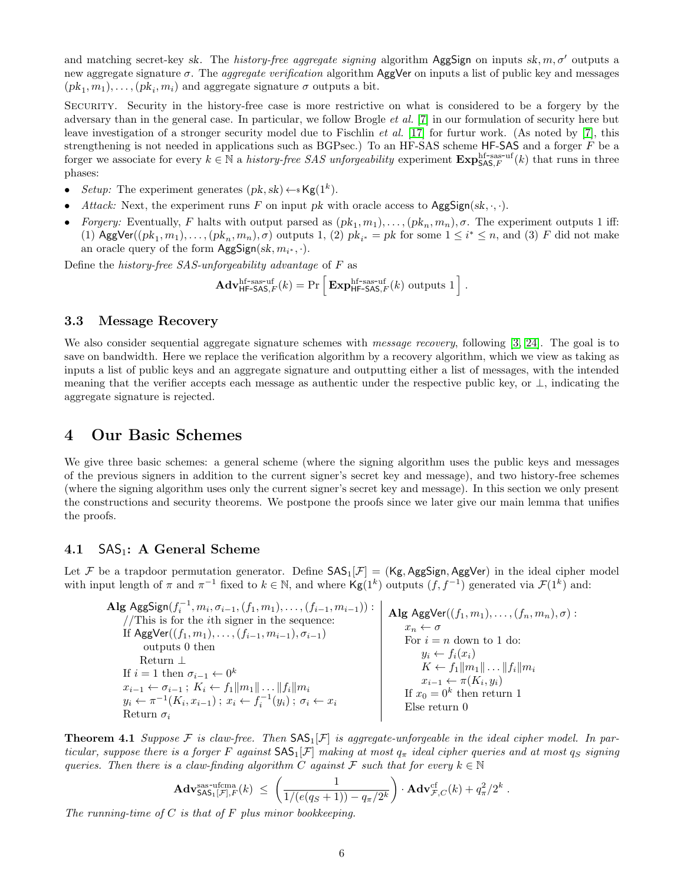<span id="page-6-2"></span>and matching secret-key sk. The history-free aggregate signing algorithm AggSign on inputs sk,  $m, \sigma'$  outputs a new aggregate signature  $\sigma$ . The *aggregate verification* algorithm  $\text{AggVer}$  on inputs a list of public key and messages  $(pk_1, m_1), \ldots, (pk_i, m_i)$  and aggregate signature  $\sigma$  outputs a bit.

Security. Security in the history-free case is more restrictive on what is considered to be a forgery by the adversary than in the general case. In particular, we follow Brogle et al. [\[7\]](#page-15-3) in our formulation of security here but leave investigation of a stronger security model due to Fischlin *et al.* [\[17\]](#page-16-3) for furtur work. (As noted by [\[7\]](#page-15-3), this strengthening is not needed in applications such as BGPsec.) To an HF-SAS scheme HF-SAS and a forger  $F$  be a forger we associate for every  $k \in \mathbb{N}$  a *history-free SAS unforgeability* experiment  $\mathbf{Exp}_{\mathsf{SAS},F}^{\text{hf-sas-uf}}(k)$  that runs in three phases:

- Setup: The experiment generates  $(pk, sk) \leftarrow$  Kg(1<sup>k</sup>).
- Attack: Next, the experiment runs F on input pk with oracle access to  $\text{AggSign}(sk, \cdot, \cdot)$ .
- Forgery: Eventually, F halts with output parsed as  $(pk_1, m_1), \ldots, (pk_n, m_n), \sigma$ . The experiment outputs 1 iff: (1) AggVer( $(pk_1, m_1), \ldots, (pk_n, m_n), \sigma$ ) outputs 1, (2)  $pk_{i^*} = pk$  for some  $1 \leq i^* \leq n$ , and (3) F did not make an oracle query of the form  $\text{AggSign}(sk, m_{i^*}, \cdot).$

Define the history-free SAS-unforgeability advantage of F as

$$
\mathbf{Adv}_{\mathsf{HF-SAS},F}^{\mathrm{hf-sas-uf}}(k) = \Pr \left[ \mathbf{Exp}_{\mathsf{HF-SAS},F}^{\mathrm{hf-sas-uf}}(k) \text{ outputs } 1 \right].
$$

#### 3.3 Message Recovery

We also consider sequential aggregate signature schemes with *message recovery*, following [\[3,](#page-15-10) [24\]](#page-16-2). The goal is to save on bandwidth. Here we replace the verification algorithm by a recovery algorithm, which we view as taking as inputs a list of public keys and an aggregate signature and outputting either a list of messages, with the intended meaning that the verifier accepts each message as authentic under the respective public key, or  $\perp$ , indicating the aggregate signature is rejected.

### <span id="page-6-0"></span>4 Our Basic Schemes

We give three basic schemes: a general scheme (where the signing algorithm uses the public keys and messages of the previous signers in addition to the current signer's secret key and message), and two history-free schemes (where the signing algorithm uses only the current signer's secret key and message). In this section we only present the constructions and security theorems. We postpone the proofs since we later give our main lemma that unifies the proofs.

#### 4.1  $SAS_1$ : A General Scheme

Let F be a trapdoor permutation generator. Define  $SAS_1[\mathcal{F}] = (Kg, AggSign, AggVer)$  in the ideal cipher model with input length of  $\pi$  and  $\pi^{-1}$  fixed to  $k \in \mathbb{N}$ , and where  $\mathsf{Kg}(1^k)$  outputs  $(f, f^{-1})$  generated via  $\mathcal{F}(1^k)$  and:

| Alg AggSign $(f_i^{-1}, m_i, \sigma_{i-1}, (f_1, m_1), \ldots, (f_{i-1}, m_{i-1}))$ :                      | Alg AggVer $((f_1, m_1), \ldots, (f_n, m_n), \sigma)$ :        |                                                                     |                                          |
|------------------------------------------------------------------------------------------------------------|----------------------------------------------------------------|---------------------------------------------------------------------|------------------------------------------|
| \n $/$ This is for the <i>i</i> th signer in the sequence:                                                 |                                                                |                                                                     |                                          |
| \n        If AggVer $((f_1, m_1), \ldots, (f_{i-1}, m_{i-1}), \sigma_{i-1})$ \n                            | \n        If $a_i \leftarrow \sigma$ for $i = n$ down to 1 do: |                                                                     |                                          |
| \n        Returns $\bot$<br>\n        If $i = 1$ then $\sigma_{i-1} \leftarrow 0^k$ \n                     | \n        If $i = 1$ then $\sigma_{i-1} \leftarrow 0^k$ \n     | \n        If $k_i \leftarrow f_1    m_1    \ldots    f_i    m_i$ \n | \n        If $x_0 = 0^k$ then return 1\n |
| \n $y_i \leftarrow \pi^{-1}(K_i, x_{i-1})$ ; $x_i \leftarrow f_i^{-1}(y_i)$ ; $\sigma_i \leftarrow x_i$ \n | \n        If $x_0 = 0^k$ then return 0\n                       |                                                                     |                                          |

<span id="page-6-1"></span>**Theorem 4.1** Suppose F is claw-free. Then  $SAS<sub>1</sub>[F]$  is aggregate-unforgeable in the ideal cipher model. In particular, suppose there is a forger F against  $SAS_1[\mathcal{F}]$  making at most  $q_\pi$  ideal cipher queries and at most  $q_S$  signing queries. Then there is a claw-finding algorithm C against F such that for every  $k \in \mathbb{N}$ 

$$
\mathbf{Adv}_{\mathsf{SAS}_1[\mathcal{F}],F}^{\text{ss-ufcma}}(k) \leq \left(\frac{1}{1/(e(q_S+1))-q_\pi/2^k}\right) \cdot \mathbf{Adv}_{\mathcal{F},C}^{\text{cf}}(k) + q_\pi^2/2^k.
$$

The running-time of  $C$  is that of  $F$  plus minor bookkeeping.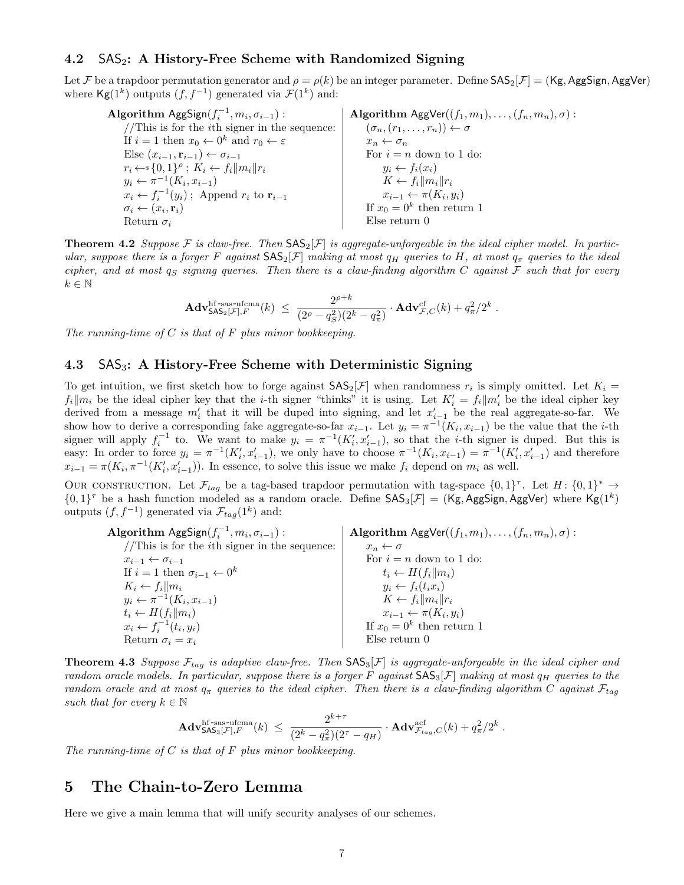#### 4.2  $SAS_2$ : A History-Free Scheme with Randomized Signing

Let F be a trapdoor permutation generator and  $\rho = \rho(k)$  be an integer parameter. Define  $SAS_2[\mathcal{F}] = (Kg, AggSign, AggVer)$ where  $\mathsf{Kg}(1^k)$  outputs  $(f, f^{-1})$  generated via  $\mathcal{F}(1^k)$  and:

Algorithm  $\text{AggSign}(f_i^{-1}, m_i, \sigma_{i-1})$ :  $//This is for the *i*th signer in the sequence:\n\n $\begin{bmatrix}\n 1 & 0 & 0 & 0 & 0 \\
 0 & 0 & 0 & 0 & 0 \\
 0 & 0 & 0 & 0 & 0 \\
 0 & 0 & 0 & 0 & 0 \\
 0 & 0 & 0 & 0 & 0 \\
 0 & 0 & 0 & 0 & 0 \\
 0 & 0 & 0 & 0 & 0 \\
 0 & 0 & 0 & 0 & 0 \\
 0 & 0 &$$ If  $i = 1$  then  $x_0 \leftarrow 0^k$  and  $r_0 \leftarrow \varepsilon$ Else  $(x_{i-1}, \mathbf{r}_{i-1}) \leftarrow \sigma_{i-1}$  $r_i \leftarrow \{0,1\}^{\rho}$ ;  $K_i \leftarrow f_i ||m_i|| r_i$  $y_i \leftarrow \pi^{-1}(K_i, x_{i-1})$  $x_i \leftarrow f_i^{-1}(y_i)$ ; Append  $r_i$  to  $\mathbf{r}_{i-1}$  $\sigma_i \leftarrow (x_i, \mathbf{r}_i)$ Return  $\sigma_i$ Algorithm  $\text{AgyVer}((f_1, m_1), \ldots, (f_n, m_n), \sigma)$ :  $(\sigma_n,(r_1,\ldots,r_n)) \leftarrow \sigma$  $x_n \leftarrow \sigma_n$ For  $i = n$  down to 1 do:  $y_i \leftarrow f_i(x_i)$  $K \leftarrow f_i ||m_i|| r_i$  $x_{i-1} \leftarrow \pi(K_i, y_i)$ If  $x_0 = 0^k$  then return 1 Else return 0

<span id="page-7-1"></span>**Theorem 4.2** Suppose F is claw-free. Then  $SAS_2[\mathcal{F}]$  is aggregate-unforgeable in the ideal cipher model. In particular, suppose there is a forger F against  $SAS_2[\mathcal{F}]$  making at most  $q_H$  queries to H, at most  $q_{\pi}$  queries to the ideal cipher, and at most  $q_S$  signing queries. Then there is a claw-finding algorithm  $C$  against  $F$  such that for every  $k \in \mathbb{N}$ 

$$
\mathbf{Adv}_{\mathsf{SAS}_2[\mathcal{F}],F}^{\mathrm{hf}\text{-sas-ufcma}}(k) \ \leq \ \frac{2^{\rho+k}}{(2^{\rho}-q_S^2)(2^k-q_\pi^2)} \cdot \mathbf{Adv}_{\mathcal{F},C}^{\mathrm{cf}}(k) + q_\pi^2/2^k \ .
$$

The running-time of  $C$  is that of  $F$  plus minor bookkeeping.

#### 4.3  $SAS_3$ : A History-Free Scheme with Deterministic Signing

To get intuition, we first sketch how to forge against  $\mathsf{SAS}_2[\mathcal{F}]$  when randomness  $r_i$  is simply omitted. Let  $K_i =$  $f_i||m_i$  be the ideal cipher key that the *i*-th signer "thinks" it is using. Let  $K_i' = f_i||m_i'$  be the ideal cipher key derived from a message  $m'_i$  that it will be duped into signing, and let  $x'_{i-1}$  be the real aggregate-so-far. We show how to derive a corresponding fake aggregate-so-far  $x_{i-1}$ . Let  $y_i = \pi^{-1}(K_i, x_{i-1})$  be the value that the *i*-th signer will apply  $f_i^{-1}$  to. We want to make  $y_i = \pi^{-1}(K'_i, x'_{i-1})$ , so that the *i*-th signer is duped. But this is easy: In order to force  $y_i = \pi^{-1}(K'_i, x'_{i-1})$ , we only have to choose  $\pi^{-1}(K_i, x_{i-1}) = \pi^{-1}(K'_i, x'_{i-1})$  and therefore  $x_{i-1} = \pi(K_i, \pi^{-1}(K'_i, x'_{i-1}))$ . In essence, to solve this issue we make  $f_i$  depend on  $m_i$  as well.

OUR CONSTRUCTION. Let  $\mathcal{F}_{tag}$  be a tag-based trapdoor permutation with tag-space  $\{0,1\}^{\tau}$ . Let  $H: \{0,1\}^* \to$  $\{0,1\}^{\tau}$  be a hash function modeled as a random oracle. Define  $SAS_3[\mathcal{F}] = (Kg, AggSign, AggVer)$  where  $Kg(1^k)$ outputs  $(f, f^{-1})$  generated via  $\mathcal{F}_{tag}(1^k)$  and:

| <b>Algorithm</b> AggSign( $f_i^{-1}, m_i, \sigma_{i-1}$ ) : | <b>Algorithm</b> AggVer $((f_1, m_1), \ldots, (f_n, m_n), \sigma)$ : |
|-------------------------------------------------------------|----------------------------------------------------------------------|
| //This is for the <i>i</i> th signer in the sequence:       | $x_n \leftarrow \sigma$                                              |
| $x_{i-1} \leftarrow \sigma_{i-1}$                           | For $i = n$ down to 1 do:                                            |
| If $i = 1$ then $\sigma_{i-1} \leftarrow 0^k$               | $t_i \leftarrow H(f_i  m_i)$                                         |
| $K_i \leftarrow f_i    m_i$                                 | $y_i \leftarrow f_i(t_i x_i)$                                        |
| $y_i \leftarrow \pi^{-1}(K_i, x_{i-1})$                     | $K \leftarrow f_i   m_i   r_i$                                       |
| $t_i \leftarrow H(f_i  m_i)$                                | $x_{i-1} \leftarrow \pi(K_i, y_i)$                                   |
| $x_i \leftarrow f_i^{-1}(t_i, y_i)$                         | If $x_0 = 0^k$ then return 1                                         |
| Return $\sigma_i = x_i$                                     | $E$ lse return 0                                                     |

<span id="page-7-2"></span>**Theorem 4.3** Suppose  $\mathcal{F}_{taq}$  is adaptive claw-free. Then  $SAS_3[\mathcal{F}]$  is aggregate-unforgeable in the ideal cipher and random oracle models. In particular, suppose there is a forger F against  $SAS_3[F]$  making at most  $q_H$  queries to the random oracle and at most  $q_{\pi}$  queries to the ideal cipher. Then there is a claw-finding algorithm C against  $\mathcal{F}_{taq}$ such that for every  $k \in \mathbb{N}$ 

$$
\mathbf{Adv}_{\mathsf{SAS}_3[\mathcal{F}],F}^{\rm hf-sas\text{-}ufcma}(k) \; \leq \; \frac{2^{k+\tau}}{(2^k-q_\pi^2)(2^\tau-q_H)} \cdot \mathbf{Adv}_{\mathcal{F}_{tag},C}^{\rm acf}(k) + q_\pi^2/2^k \; .
$$

The running-time of  $C$  is that of  $F$  plus minor bookkeeping.

### <span id="page-7-0"></span>5 The Chain-to-Zero Lemma

Here we give a main lemma that will unify security analyses of our schemes.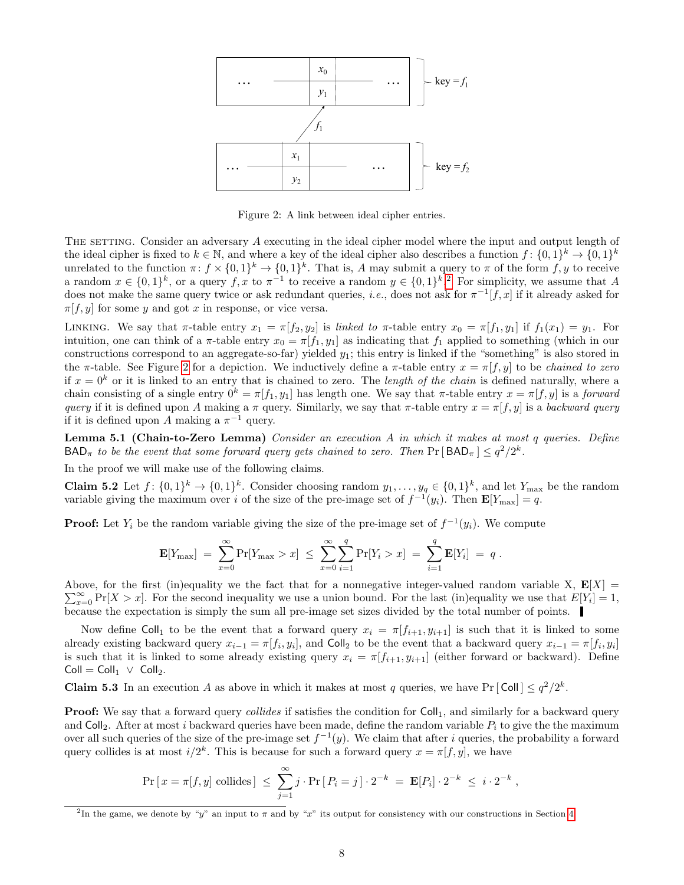

Figure 2: A link between ideal cipher entries.

<span id="page-8-0"></span>THE SETTING. Consider an adversary A executing in the ideal cipher model where the input and output length of the ideal cipher is fixed to  $k \in \mathbb{N}$ , and where a key of the ideal cipher also describes a function  $f: \{0,1\}^k \to \{0,1\}^k$ unrelated to the function  $\pi: f \times \{0,1\}^k \to \{0,1\}^k$ . That is, A may submit a query to  $\pi$  of the form  $f, y$  to receive a random  $x \in \{0,1\}^k$ , or a query f, x to  $\pi^{-1}$  to receive a random  $y \in \{0,1\}^k$ . For simplicity, we assume that A does not make the same query twice or ask redundant queries, *i.e.*, does not ask for  $\pi^{-1}[f, x]$  if it already asked for  $\pi[f, y]$  for some y and got x in response, or vice versa.

LINKING. We say that  $\pi$ -table entry  $x_1 = \pi[f_2, y_2]$  is linked to  $\pi$ -table entry  $x_0 = \pi[f_1, y_1]$  if  $f_1(x_1) = y_1$ . For intuition, one can think of a  $\pi$ -table entry  $x_0 = \pi[f_1, y_1]$  as indicating that  $f_1$  applied to something (which in our constructions correspond to an aggregate-so-far) yielded  $y_1$ ; this entry is linked if the "something" is also stored in the π-table. See Figure [2](#page-8-0) for a depiction. We inductively define a π-table entry  $x = \pi[f, y]$  to be *chained to zero* if  $x = 0<sup>k</sup>$  or it is linked to an entry that is chained to zero. The *length of the chain* is defined naturally, where a chain consisting of a single entry  $0^k = \pi[f_1, y_1]$  has length one. We say that  $\pi$ -table entry  $x = \pi[f, y]$  is a forward query if it is defined upon A making a  $\pi$  query. Similarly, we say that  $\pi$ -table entry  $x = \pi[f, y]$  is a backward query if it is defined upon A making a  $\pi^{-1}$  query.

<span id="page-8-1"></span>Lemma 5.1 (Chain-to-Zero Lemma) Consider an execution A in which it makes at most q queries. Define  $\mathsf{BAD}_{\pi}$  to be the event that some forward query gets chained to zero. Then  $\Pr[\mathsf{BAD}_{\pi}] \leq q^2/2^k$ .

In the proof we will make use of the following claims.

**Claim 5.2** Let  $f: \{0,1\}^k \to \{0,1\}^k$ . Consider choosing random  $y_1, \ldots, y_q \in \{0,1\}^k$ , and let  $Y_{\text{max}}$  be the random variable giving the maximum over i of the size of the pre-image set of  $f^{-1}(y_i)$ . Then  $\mathbf{E}[Y_{\text{max}}] = q$ .

**Proof:** Let  $Y_i$  be the random variable giving the size of the pre-image set of  $f^{-1}(y_i)$ . We compute

$$
\mathbf{E}[Y_{\max}] = \sum_{x=0}^{\infty} \Pr[Y_{\max} > x] \leq \sum_{x=0}^{\infty} \sum_{i=1}^{q} \Pr[Y_i > x] = \sum_{i=1}^{q} \mathbf{E}[Y_i] = q.
$$

Above, for the first (in)equality we the fact that for a nonnegative integer-valued random variable X,  $\mathbf{E}[X] =$  $\sum_{x=0}^{\infty} \Pr[X > x]$ . For the second inequality we use a union bound. For the last (in)equality we use that  $E[Y_i] = 1$ , because the expectation is simply the sum all pre-image set sizes divided by the total number of points.

Now define Coll<sub>1</sub> to be the event that a forward query  $x_i = \pi[f_{i+1}, y_{i+1}]$  is such that it is linked to some already existing backward query  $x_{i-1} = \pi[f_i, y_i]$ , and Coll<sub>2</sub> to be the event that a backward query  $x_{i-1} = \pi[f_i, y_i]$ is such that it is linked to some already existing query  $x_i = \pi[f_{i+1}, y_{i+1}]$  (either forward or backward). Define  $Coll = Coll_1 \vee Coll_2.$ 

<span id="page-8-2"></span>**Claim 5.3** In an execution A as above in which it makes at most q queries, we have Pr [Coll]  $\leq q^2/2^k$ .

**Proof:** We say that a forward query *collides* if satisfies the condition for  $Coll<sub>1</sub>$ , and similarly for a backward query and Coll<sub>2</sub>. After at most i backward queries have been made, define the random variable  $P_i$  to give the the maximum over all such queries of the size of the pre-image set  $f^{-1}(y)$ . We claim that after i queries, the probability a forward query collides is at most  $i/2^k$ . This is because for such a forward query  $x = \pi[f, y]$ , we have

,

$$
\Pr\left[x = \pi[f, y] \text{ collides}\right] \le \sum_{j=1}^{\infty} j \cdot \Pr\left[P_i = j\right] \cdot 2^{-k} = \mathbf{E}[P_i] \cdot 2^{-k} \le i \cdot 2^{-k}
$$

<sup>2</sup>In the game, we denote by "y" an input to  $\pi$  and by "x" its output for consistency with our constructions in Section [4.](#page-6-0)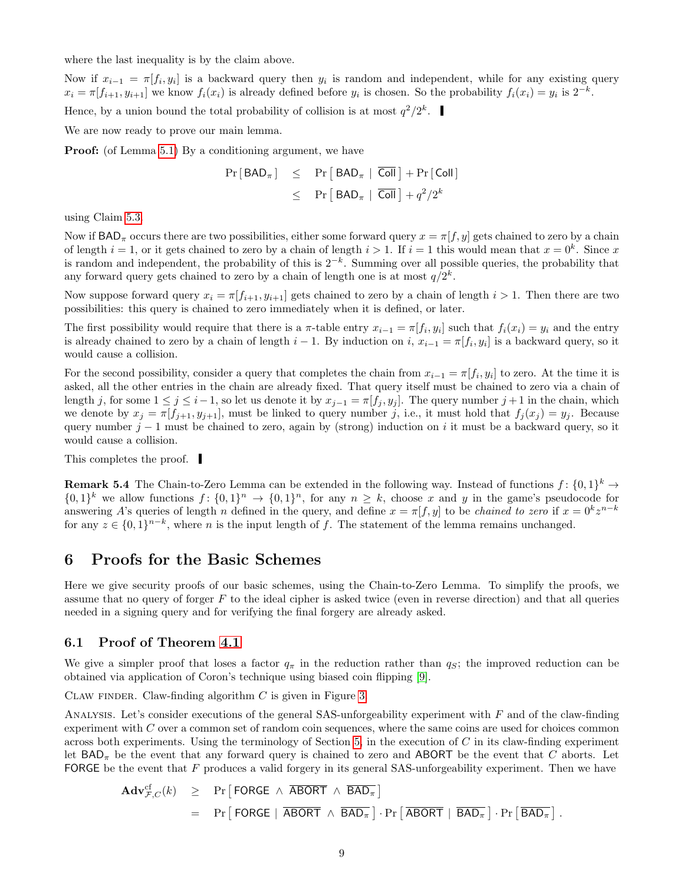<span id="page-9-1"></span>where the last inequality is by the claim above.

Now if  $x_{i-1} = \pi[f_i, y_i]$  is a backward query then  $y_i$  is random and independent, while for any existing query  $x_i = \pi[f_{i+1}, y_{i+1}]$  we know  $f_i(x_i)$  is already defined before  $y_i$  is chosen. So the probability  $f_i(x_i) = y_i$  is  $2^{-k}$ .

Hence, by a union bound the total probability of collision is at most  $q^2/2^k$ .

We are now ready to prove our main lemma.

Proof: (of Lemma [5.1\)](#page-8-1) By a conditioning argument, we have

$$
Pr[BAD_{\pi}] \leq Pr[BAD_{\pi} | \overline{Coll}] + Pr[Coll]
$$
  

$$
\leq Pr[BAD_{\pi} | \overline{Coll}] + q^2/2^k
$$

using Claim [5.3.](#page-8-2)

Now if  $BAD_{\pi}$  occurs there are two possibilities, either some forward query  $x = \pi[f, y]$  gets chained to zero by a chain of length  $i = 1$ , or it gets chained to zero by a chain of length  $i > 1$ . If  $i = 1$  this would mean that  $x = 0<sup>k</sup>$ . Since x is random and independent, the probability of this is  $2^{-k}$ . Summing over all possible queries, the probability that any forward query gets chained to zero by a chain of length one is at most  $q/2^k$ .

Now suppose forward query  $x_i = \pi[f_{i+1}, y_{i+1}]$  gets chained to zero by a chain of length  $i > 1$ . Then there are two possibilities: this query is chained to zero immediately when it is defined, or later.

The first possibility would require that there is a  $\pi$ -table entry  $x_{i-1} = \pi[f_i, y_i]$  such that  $f_i(x_i) = y_i$  and the entry is already chained to zero by a chain of length  $i-1$ . By induction on  $i, x_{i-1} = \pi[f_i, y_i]$  is a backward query, so it would cause a collision.

For the second possibility, consider a query that completes the chain from  $x_{i-1} = \pi[f_i, y_i]$  to zero. At the time it is asked, all the other entries in the chain are already fixed. That query itself must be chained to zero via a chain of length j, for some  $1 \le j \le i-1$ , so let us denote it by  $x_{j-1} = \pi[f_j, y_j]$ . The query number  $j+1$  in the chain, which we denote by  $x_j = \pi[f_{j+1}, y_{j+1}]$ , must be linked to query number j, i.e., it must hold that  $f_j(x_j) = y_j$ . Because query number  $j - 1$  must be chained to zero, again by (strong) induction on i it must be a backward query, so it would cause a collision.

This completes the proof.

<span id="page-9-0"></span>**Remark 5.4** The Chain-to-Zero Lemma can be extended in the following way. Instead of functions  $f: \{0,1\}^k \to$  $\{0,1\}^k$  we allow functions  $f: \{0,1\}^n \to \{0,1\}^n$ , for any  $n \geq k$ , choose x and y in the game's pseudocode for answering A's queries of length n defined in the query, and define  $x = \pi[f, y]$  to be *chained to zero* if  $x = 0^k z^{n-k}$ for any  $z \in \{0,1\}^{n-k}$ , where n is the input length of f. The statement of the lemma remains unchanged.

### 6 Proofs for the Basic Schemes

Here we give security proofs of our basic schemes, using the Chain-to-Zero Lemma. To simplify the proofs, we assume that no query of forger  $F$  to the ideal cipher is asked twice (even in reverse direction) and that all queries needed in a signing query and for verifying the final forgery are already asked.

#### 6.1 Proof of Theorem [4.1](#page-6-1)

We give a simpler proof that loses a factor  $q_{\pi}$  in the reduction rather than  $q_S$ ; the improved reduction can be obtained via application of Coron's technique using biased coin flipping [\[9\]](#page-15-11).

CLAW FINDER. Claw-finding algorithm  $C$  is given in Figure [3.](#page-11-0)

ANALYSIS. Let's consider executions of the general SAS-unforgeability experiment with  $F$  and of the claw-finding experiment with C over a common set of random coin sequences, where the same coins are used for choices common across both experiments. Using the terminology of Section  $5$ , in the execution of  $C$  in its claw-finding experiment let  $BAD_{\pi}$  be the event that any forward query is chained to zero and ABORT be the event that C aborts. Let FORGE be the event that  $F$  produces a valid forgery in its general SAS-unforgeability experiment. Then we have

$$
\begin{array}{rcl}\n\mathbf{Adv}_{\mathcal{F},C}^{\mathrm{cf}}(k) & \geq & \mathrm{Pr}\left[\text{FORGE } \wedge \overline{\text{ABORT}} \wedge \overline{\text{BAD}_{\pi}}\right] \\
& = & \mathrm{Pr}\left[\text{FORGE } | \overline{\text{ABORT}} \wedge \overline{\text{BAD}_{\pi}}\right] \cdot \mathrm{Pr}\left[\overline{\text{ABORT}} \mid \overline{\text{BAD}_{\pi}}\right] \cdot \mathrm{Pr}\left[\overline{\text{BAD}_{\pi}}\right].\n\end{array}
$$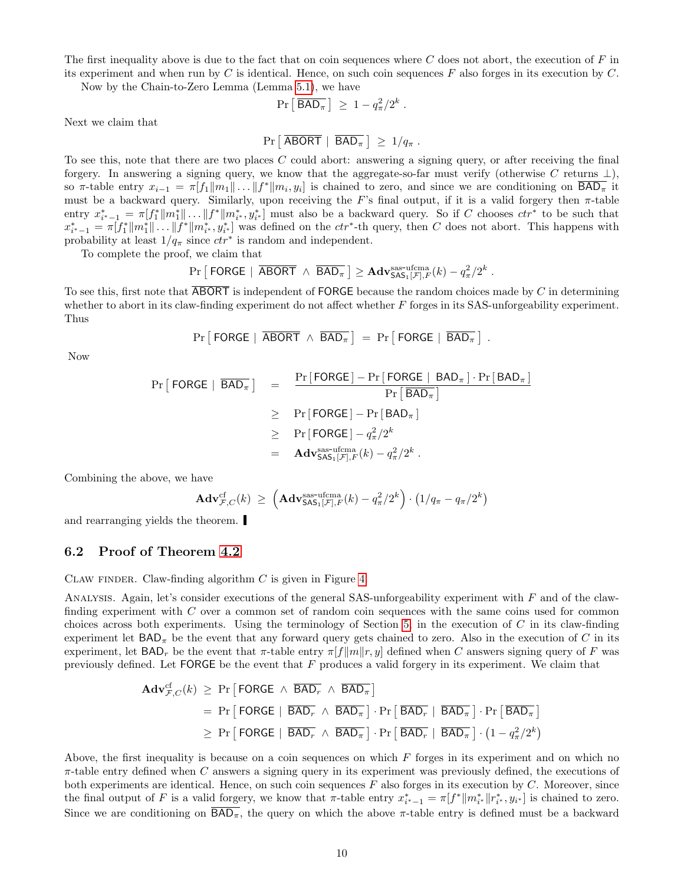The first inequality above is due to the fact that on coin sequences where  $C$  does not abort, the execution of  $F$  in its experiment and when run by C is identical. Hence, on such coin sequences  $F$  also forges in its execution by  $C$ .

Now by the Chain-to-Zero Lemma (Lemma [5.1\)](#page-8-1), we have

$$
\Pr\left[\overline{\mathsf{BAD}}_\pi\right] \geq 1 - q_\pi^2/2^k \; .
$$

Next we claim that

$$
Pr [ \overline{ABORT} | \overline{BAD_{\pi}} ] \geq 1/q_{\pi} .
$$

To see this, note that there are two places  $C$  could abort: answering a signing query, or after receiving the final forgery. In answering a signing query, we know that the aggregate-so-far must verify (otherwise C returns  $\perp$ ), so  $\pi$ -table entry  $x_{i-1} = \pi[f_1||m_1|| \dots ||f^*||m_i, y_i]$  is chained to zero, and since we are conditioning on  $\overline{BAD_{\pi}}$  it must be a backward query. Similarly, upon receiving the F's final output, if it is a valid forgery then  $\pi$ -table entry  $x_{i^*-1}^* = \pi[f_1^* \| m_1^* \| \dots \| f^* \| m_{i^*}^*, y_{i^*}^*]$  must also be a backward query. So if C chooses  $ctr^*$  to be such that  $x_{i^*-1}^* = \pi[f_1^* \| m_1^* \| \dots \| f^* \| m_{i^*}^*, y_{i^*}^*]$  was defined on the  $ctr^*$ -th query, then C does not abort. This happens with probability at least  $1/q_{\pi}$  since  $ctr^*$  is random and independent.

To complete the proof, we claim that

$$
\Pr\left[\text{ FORGE } | \overline{\text{ABORT}} \land \overline{\text{BAD}_{\pi}}\right] \geq \text{Adv}_{\mathsf{SAS}_1[\mathcal{F}],F}^{\text{sas-ufcma}}(k) - q_{\pi}^2/2^k \; .
$$

To see this, first note that ABORT is independent of FORGE because the random choices made by C in determining whether to abort in its claw-finding experiment do not affect whether  $F$  forges in its SAS-unforgeability experiment. Thus

$$
\Pr [\text{FORGE} \mid \overline{\text{ABORT}} \, \wedge \, \overline{\text{BAD}_{\pi}}] \ = \ \Pr \big[\text{FORGE} \mid \overline{\text{BAD}_{\pi}} \, \big] \ .
$$

Now

$$
\Pr\left[\text{FORGE} \mid \overline{BAD}_{\pi}\right] = \frac{\Pr[\text{FORGE}] - \Pr[\text{FORGE} \mid BAD_{\pi}]\cdot \Pr[BAD_{\pi}]}{\Pr[\overline{BAD}_{\pi}]}
$$

$$
\geq \Pr[\text{FORGE}] - \Pr[BAD_{\pi}]
$$

$$
\geq \Pr[\text{FORGE}] - q_{\pi}^{2}/2^{k}
$$

$$
= \text{Adv}_{SAS_{1}[F],F}^{Sas\text{-nframe}}(k) - q_{\pi}^{2}/2^{k}.
$$

Combining the above, we have

$$
\mathbf{Adv}_{\mathcal{F},C}^{\mathrm{cf}}(k) \geq \left(\mathbf{Adv}_{\mathsf{SAS}_1[\mathcal{F}],F}^{\mathrm{asas-ufcma}}(k) - q_\pi^2/2^k\right) \cdot \left(1/q_\pi - q_\pi/2^k\right)
$$

and rearranging yields the theorem.

#### 6.2 Proof of Theorem [4.2](#page-7-1)

CLAW FINDER. Claw-finding algorithm  $C$  is given in Figure [4.](#page-12-0)

ANALYSIS. Again, let's consider executions of the general SAS-unforgeability experiment with  $F$  and of the clawfinding experiment with C over a common set of random coin sequences with the same coins used for common choices across both experiments. Using the terminology of Section [5,](#page-7-0) in the execution of  $C$  in its claw-finding experiment let  $BAD_{\pi}$  be the event that any forward query gets chained to zero. Also in the execution of C in its experiment, let  $BAD_r$  be the event that  $\pi$ -table entry  $\pi[f||m||r, y]$  defined when C answers signing query of F was previously defined. Let  $\mathsf{FORGE}$  be the event that F produces a valid forgery in its experiment. We claim that

$$
\begin{aligned}\n\mathbf{Adv}_{\mathcal{F},C}^{\mathrm{cf}}(k) &\geq \mathrm{Pr}\left[\text{FORGE } \wedge \overline{\text{BAD}_{r}} \wedge \overline{\text{BAD}_{\pi}}\right] \\
&= \mathrm{Pr}\left[\text{FORGE } | \overline{\text{BAD}_{r}} \wedge \overline{\text{BAD}_{\pi}}\right] \cdot \mathrm{Pr}\left[\overline{\text{BAD}_{\pi}} \right] \cdot \mathrm{Pr}\left[\overline{\text{BAD}_{\pi}}\right] \\
&\geq \mathrm{Pr}\left[\text{FORGE } | \overline{\text{BAD}_{r}} \wedge \overline{\text{BAD}_{\pi}}\right] \cdot \mathrm{Pr}\left[\overline{\text{BAD}_{\pi}} \mid \overline{\text{BAD}_{\pi}}\right] \cdot \left(1 - q_{\pi}^{2}/2^{k}\right)\n\end{aligned}
$$

Above, the first inequality is because on a coin sequences on which  $F$  forges in its experiment and on which no  $\pi$ -table entry defined when C answers a signing query in its experiment was previously defined, the executions of both experiments are identical. Hence, on such coin sequences  $F$  also forges in its execution by  $C$ . Moreover, since the final output of F is a valid forgery, we know that  $\pi$ -table entry  $x_{i^*-1}^* = \pi[f^* || m_{i^*}^* || r_{i^*}^*, y_{i^*}]$  is chained to zero. Since we are conditioning on  $\overline{BAD_{\pi}}$ , the query on which the above  $\pi$ -table entry is defined must be a backward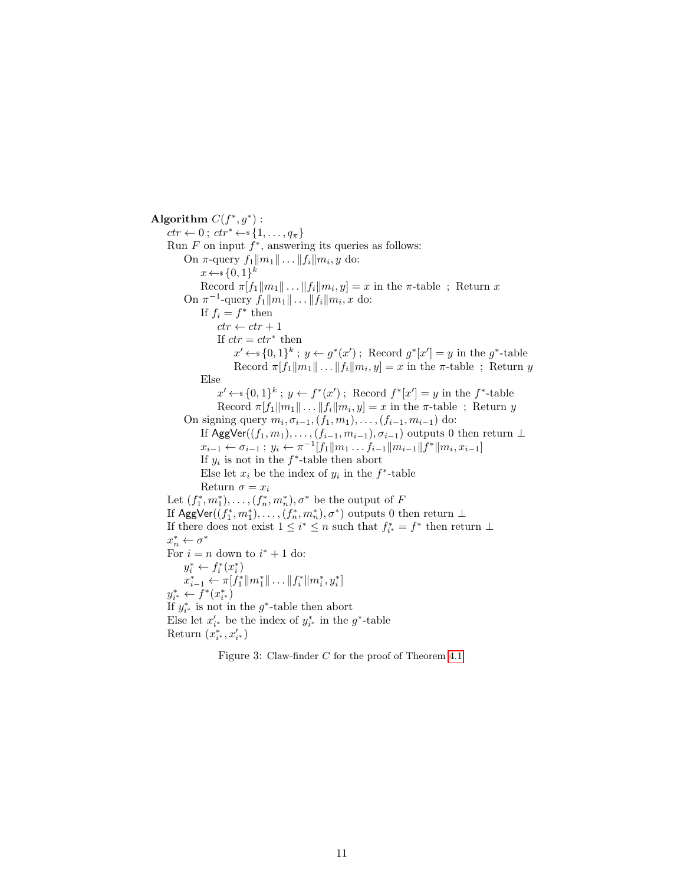Algorithm  $C(f^*, g^*)$ :  $ctr \leftarrow 0$ ;  $ctr^* \leftarrow s \{1, \ldots, q_\pi\}$ Run  $F$  on input  $f^*$ , answering its queries as follows: On π-query  $f_1 || m_1 || \dots || f_i || m_i$ , *y* do:  $x \leftarrow \{0,1\}^k$ Record  $\pi[f_1||m_1|| \dots ||f_i||m_i, y] = x$  in the  $\pi$ -table; Return x On  $\pi^{-1}$ -query  $f_1 || m_1 || \dots || f_i || m_i$ , x do: If  $f_i = f^*$  then  $ctr \leftarrow str + 1$ If  $ctr = str^*$  then  $x' \leftarrow \{0,1\}^k$ ;  $y \leftarrow g^*(x')$ ; Record  $g^*[x'] = y$  in the  $g^*$ -table Record  $\pi[f_1||m_1|| \dots ||f_i||m_i, y] = x$  in the  $\pi$ -table; Return y Else  $x' \leftarrow \{0,1\}^k$ ;  $y \leftarrow f^*(x')$ ; Record  $f^*[x'] = y$  in the  $f^*$ -table Record  $\pi[f_1||m_1|| \dots ||f_i||m_i, y] = x$  in the  $\pi$ -table; Return y On signing query  $m_i, \sigma_{i-1}, (f_1, m_1), \ldots, (f_{i-1}, m_{i-1})$  do: If AggVer $((f_1, m_1), \ldots, (f_{i-1}, m_{i-1}), \sigma_{i-1})$  outputs 0 then return  $\perp$  $x_{i-1} \leftarrow \sigma_{i-1}$ ;  $y_i \leftarrow \pi^{-1}[f_1 \| m_1 \dots f_{i-1} \| m_{i-1} \| f^* \| m_i, x_{i-1}]$ If  $y_i$  is not in the  $f^*$ -table then abort Else let  $x_i$  be the index of  $y_i$  in the  $f^*$ -table Return  $\sigma = x_i$ Let  $(f_1^*, m_1^*), \ldots, (f_n^*, m_n^*), \sigma^*$  be the output of F If  $\mathsf{AggVer}((f_1^*, m_1^*), \ldots, (f_n^*, m_n^*), \sigma^*)$  outputs 0 then return  $\bot$ If there does not exist  $1 \leq i^* \leq n$  such that  $f_{i^*}^* = f^*$  then return  $\perp$  $x_n^* \leftarrow \sigma^*$ For  $i = n$  down to  $i^* + 1$  do:  $y_i^* \leftarrow f_i^*(x_i^*)$  $x_{i-1}^* \leftarrow \pi[f_1^* \| m_1^* \| \dots \| f_i^* \| m_i^*, y_i^*]$  $y_{i^*}^* \leftarrow f^*(x_{i^*}^*)$ If  $y_{i^*}^*$  is not in the  $g^*$ -table then abort Else let  $x'_{i^*}$  be the index of  $y^*_{i^*}$  in the  $g^*$ -table Return  $(x^*_{i^*}, x'_{i^*})$ 

<span id="page-11-0"></span>Figure 3: Claw-finder C for the proof of Theorem [4.1.](#page-6-1)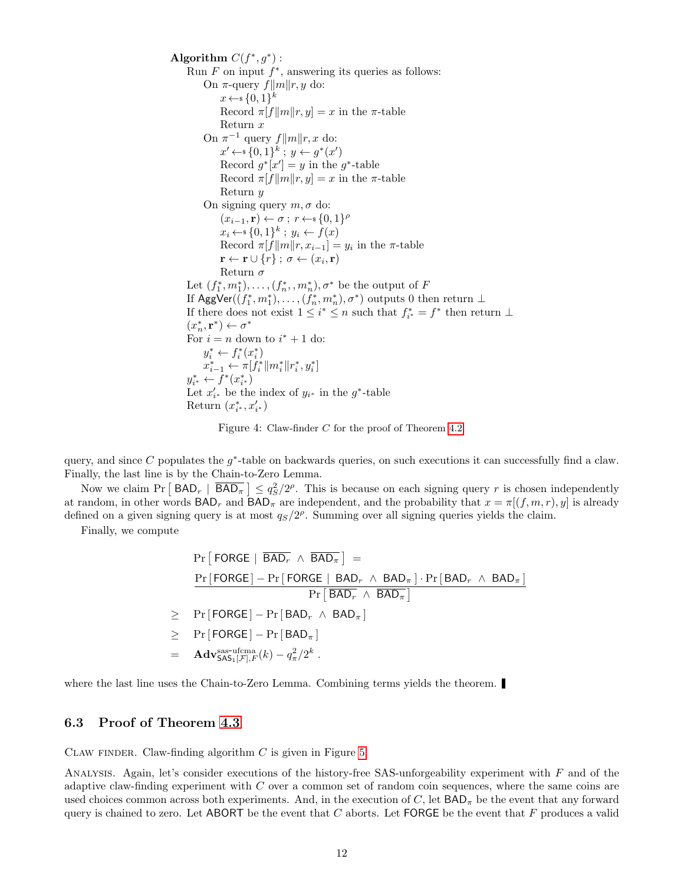Algorithm  $C(f^*, g^*)$ : Run  $F$  on input  $f^*$ , answering its queries as follows: On π-query  $f||m||r, y$  do:  $x \leftarrow \{0,1\}^k$ Record  $\pi[f||m||r, y] = x$  in the  $\pi$ -table Return x On  $\pi^{-1}$  query  $f||m||r, x$  do:  $x' \leftarrow \{0,1\}^k$ ;  $y \leftarrow g^*(x')$ Record  $g^*[x'] = y$  in the  $g^*$ -table Record  $\pi[f||m||r, y] = x$  in the  $\pi$ -table Return y On signing query  $m, \sigma$  do:  $(x_{i-1}, \mathbf{r}) \leftarrow \sigma; r \leftarrow \{0, 1\}^{\rho}$  $x_i \leftarrow \{0,1\}^k$ ;  $y_i \leftarrow f(x)$ Record  $\pi[f||m||r, x_{i-1}] = y_i$  in the  $\pi$ -table  $\mathbf{r} \leftarrow \mathbf{r} \cup \{r\}$  ;  $\sigma \leftarrow (x_i, \mathbf{r})$ Return  $\sigma$ Let  $(f_1^*, m_1^*), \ldots, (f_n^*, m_n^*), \sigma^*$  be the output of F If  $\mathsf{AggVer}((f_1^*, m_1^*), \ldots, (f_n^*, m_n^*), \sigma^*)$  outputs 0 then return  $\bot$ If there does not exist  $1 \leq i^* \leq n$  such that  $f_{i^*}^* = f^*$  then return  $\perp$  $(x_{n}^{\ast},\mathbf{r}^{\ast})\leftarrow\sigma^{\ast}$ For  $i = n$  down to  $i^* + 1$  do:  $y_i^* \leftarrow f_i^*(x_i^*)$  $x_{i-1}^* \leftarrow \pi[f_i^* \| m_i^* \| r_i^*, y_i^*]$  $y_{i^*}^* \leftarrow f^*(x_{i^*}^*)$ Let  $x'_{i^*}$  be the index of  $y_{i^*}$  in the  $g^*$ -table Return  $(x^*_{i^*}, x'_{i^*})$ 

Figure 4: Claw-finder C for the proof of Theorem [4.2.](#page-7-1)

<span id="page-12-0"></span>query, and since  $C$  populates the  $g^*$ -table on backwards queries, on such executions it can successfully find a claw. Finally, the last line is by the Chain-to-Zero Lemma.

Now we claim  $Pr [ BAD_r | \overline{BAD}_{\pi}] \leq q_S^2/2^{\rho}$ . This is because on each signing query r is chosen independently at random, in other words  $\text{BAD}_{r}$  and  $\text{BAD}_{\pi}$  are independent, and the probability that  $x = \pi[(f, m, r), y]$  is already defined on a given signing query is at most  $q_S/2^{\rho}$ . Summing over all signing queries yields the claim.

Finally, we compute

$$
\Pr[\text{FORGE} | \overline{BAD_r} \wedge \overline{BAD_\pi}] =
$$
\n
$$
\frac{\Pr[\text{FORGE}] - \Pr[\text{FORGE} | \text{ BAD}_r \wedge \text{BAD}_\pi] \cdot \Pr[\text{BAD}_r \wedge \text{BAD}_\pi]}{\Pr[\text{BAD}_r \wedge \text{BAD}_\pi]}
$$
\n
$$
\geq \Pr[\text{FORGE}] - \Pr[\text{BAD}_r \wedge \text{BAD}_\pi]
$$
\n
$$
\geq \Pr[\text{FORGE}] - \Pr[\text{BAD}_\pi]
$$
\n
$$
= \text{Adv}_{\text{SAS}_1[\mathcal{F}],F}^{\text{ssat-ufcma}}(k) - q_\pi^2/2^k.
$$

where the last line uses the Chain-to-Zero Lemma. Combining terms yields the theorem.

#### 6.3 Proof of Theorem [4.3](#page-7-2)

CLAW FINDER. Claw-finding algorithm  $C$  is given in Figure [5.](#page-14-0)

Analysis. Again, let's consider executions of the history-free SAS-unforgeability experiment with F and of the adaptive claw-finding experiment with C over a common set of random coin sequences, where the same coins are used choices common across both experiments. And, in the execution of C, let  $BAD_{\pi}$  be the event that any forward query is chained to zero. Let ABORT be the event that  $C$  aborts. Let FORGE be the event that  $F$  produces a valid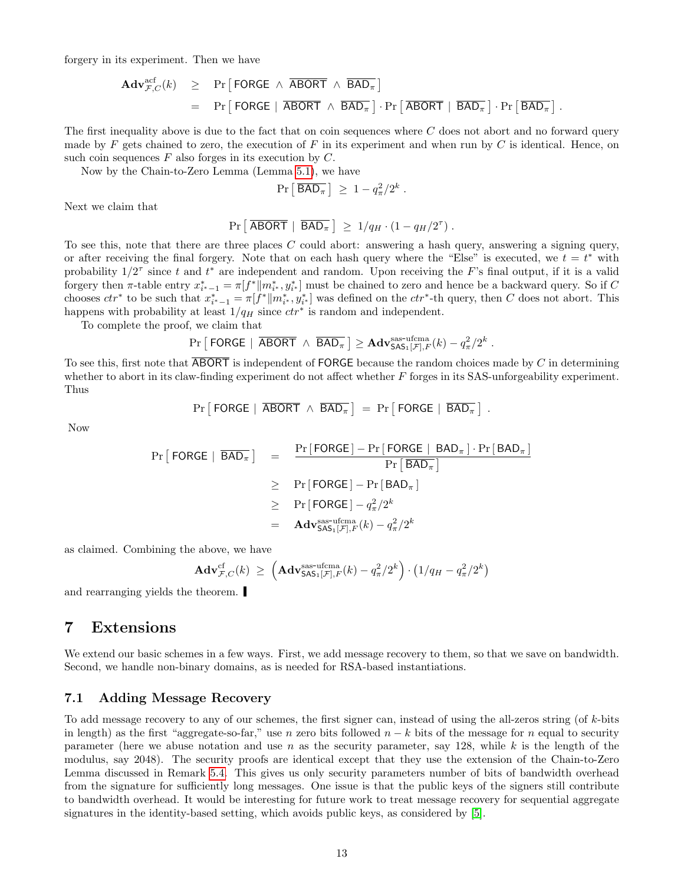<span id="page-13-1"></span>forgery in its experiment. Then we have

$$
\begin{array}{rcl}\n\mathbf{Adv}_{\mathcal{F},C}^{\text{acf}}(k) & \geq & \Pr\left[\text{FORGE } \wedge \overline{\text{ABORT}} \wedge \overline{\text{BAD}_{\pi}}\right] \\
& = & \Pr\left[\text{FORGE } | \overline{\text{ABORT}} \wedge \overline{\text{BAD}_{\pi}}\right] \cdot \Pr\left[\overline{\text{ABORT}} \mid \overline{\text{BAD}_{\pi}}\right] \cdot \Pr\left[\overline{\text{BAD}_{\pi}}\right].\n\end{array}
$$

The first inequality above is due to the fact that on coin sequences where C does not abort and no forward query made by F gets chained to zero, the execution of F in its experiment and when run by C is identical. Hence, on such coin sequences  $F$  also forges in its execution by  $C$ .

Now by the Chain-to-Zero Lemma (Lemma [5.1\)](#page-8-1), we have

$$
\Pr\left[\overline{\mathsf{BAD}}_\pi\right] \geq 1 - q_\pi^2/2^k \; .
$$

Next we claim that

$$
Pr\left[\overline{ABORT} \mid \overline{BAD_{\pi}}\right] \geq 1/q_H \cdot (1 - q_H/2^{\tau}).
$$

To see this, note that there are three places C could abort: answering a hash query, answering a signing query, or after receiving the final forgery. Note that on each hash query where the "Else" is executed, we  $t = t^*$  with probability  $1/2^{\tau}$  since t and  $t^*$  are independent and random. Upon receiving the F's final output, if it is a valid forgery then  $\pi$ -table entry  $x_{i^*-1}^* = \pi[f^* \| m_{i^*}^*, y_{i^*}^*]$  must be chained to zero and hence be a backward query. So if C chooses  $ctr^*$  to be such that  $x_{i^*-1}^* = \pi[f^*||m_{i^*}^*, y_{i^*}^*]$  was defined on the  $ctr^*$ -th query, then C does not abort. This happens with probability at least  $1/q_H$  since  $ctr^*$  is random and independent.

To complete the proof, we claim that

$$
\Pr\left[\text{ FORGE } | \overline{\text{ ABORT}} \land \overline{\text{BAD}_{\pi}}\right] \geq \text{Adv}_{\text{SAS}_1[\mathcal{F}],F}^{\text{sas-ufcma}}(k) - q_{\pi}^2/2^k \; .
$$

To see this, first note that  $\overline{ABORT}$  is independent of FORGE because the random choices made by C in determining whether to abort in its claw-finding experiment do not affect whether  $F$  forges in its SAS-unforgeability experiment. Thus

$$
\Pr [\text{FORGE} | \overline{ABORT} \land \overline{BAD_{\pi}}] = \Pr [\text{FORGE} | \overline{BAD_{\pi}}].
$$

Now

$$
\Pr\left[\text{FORGE} \mid \overline{\text{BAD}_{\pi}}\right] = \frac{\Pr\left[\text{FORGE} \mid \text{Pn}\left[\text{FORGE} \mid \text{BAD}_{\pi}\right] \cdot \Pr\left[\text{BAD}_{\pi}\right]}{\Pr\left[\text{BAD}_{\pi}\right]} \\
\geq \Pr\left[\text{FORGE} \mid -\Pr\left[\text{BAD}_{\pi}\right] \right] \\
\geq \Pr\left[\text{FORGE} \mid -q_{\pi}^{2}/2^{k} \right] \\
= \mathbf{Adv}_{\text{SAS}_1[\mathcal{F}],F}^{\text{ass-ufcma}}(k) - q_{\pi}^{2}/2^{k}
$$

as claimed. Combining the above, we have

$$
\mathbf{Adv}_{\mathcal{F},C}^{\mathrm{cf}}(k) \ \geq \ \left(\mathbf{Adv}_{\mathsf{SAS}_1[\mathcal{F}],F}^{\mathrm{as-ufcma}}(k) - q_\pi^2/2^k\right) \cdot \left(1/q_H - q_\pi^2/2^k\right)
$$

and rearranging yields the theorem.

### <span id="page-13-0"></span>7 Extensions

We extend our basic schemes in a few ways. First, we add message recovery to them, so that we save on bandwidth. Second, we handle non-binary domains, as is needed for RSA-based instantiations.

#### 7.1 Adding Message Recovery

To add message recovery to any of our schemes, the first signer can, instead of using the all-zeros string (of k-bits in length) as the first "aggregate-so-far," use n zero bits followed  $n - k$  bits of the message for n equal to security parameter (here we abuse notation and use n as the security parameter, say 128, while k is the length of the modulus, say 2048). The security proofs are identical except that they use the extension of the Chain-to-Zero Lemma discussed in Remark [5.4.](#page-9-0) This gives us only security parameters number of bits of bandwidth overhead from the signature for sufficiently long messages. One issue is that the public keys of the signers still contribute to bandwidth overhead. It would be interesting for future work to treat message recovery for sequential aggregate signatures in the identity-based setting, which avoids public keys, as considered by [\[5\]](#page-15-1).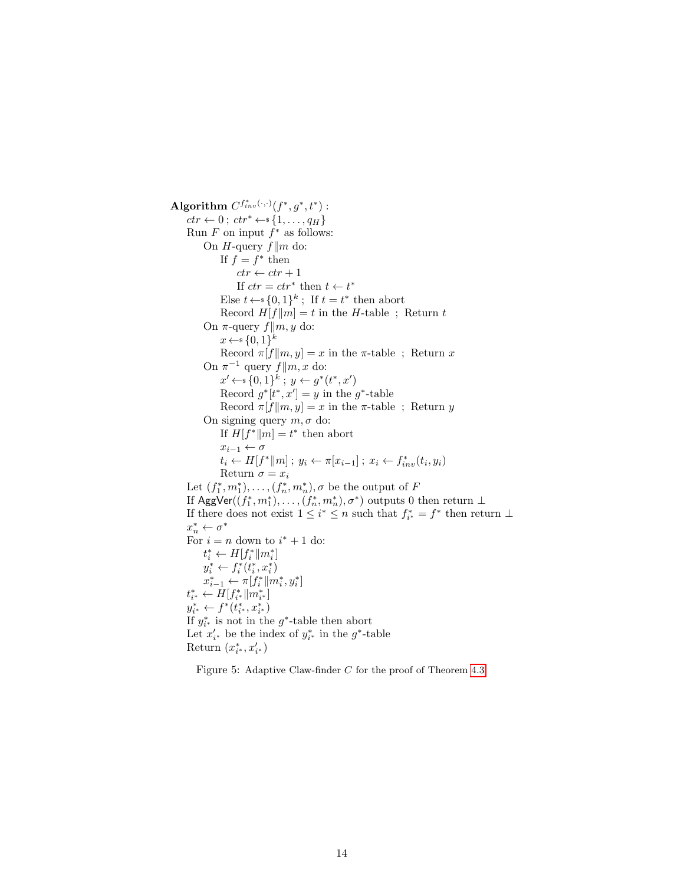Algorithm  $C^{f^*_{inv}(\cdot,\cdot)}(f^*,g^*,t^*)$  :  $ctr \leftarrow 0$ ;  $ctr^* \leftarrow$  {1, ...,  $q_H$ } Run  $F$  on input  $f^*$  as follows: On *H*-query  $f||m$  do: If  $f = f^*$  then  $ctr \leftarrow ctr + 1$ If  $ctr =ctr^*$  then  $t \leftarrow t^*$ Else  $t \leftarrow s \{0,1\}^k$ ; If  $t = t^*$  then abort Record  $H[f||m] = t$  in the H-table ; Return t On  $\pi$ -query  $f||m, y$  do:  $x \leftarrow \{0,1\}^k$ Record  $\pi[f||m, y] = x$  in the  $\pi$ -table; Return x On  $\pi^{-1}$  query  $f||m, x$  do:  $x' \leftarrow \{0,1\}^k$ ;  $y \leftarrow g^*(t^*, x')$ Record  $g^*[t^*, x'] = y$  in the  $g^*$ -table Record  $\pi[f||m, y] = x$  in the  $\pi$ -table; Return y On signing query  $m, \sigma$  do: If  $H[f^*||m] = t^*$  then abort  $x_{i-1} \leftarrow \sigma$  $t_i \leftarrow H[f^*||m]; y_i \leftarrow \pi[x_{i-1}]; x_i \leftarrow f_{inv}^*(t_i, y_i)$ Return  $\sigma = x_i$ Let  $(f_1^*, m_1^*), \ldots, (f_n^*, m_n^*), \sigma$  be the output of F If  $\mathsf{AggVer}((f_1^*, m_1^*), \ldots, (f_n^*, m_n^*), \sigma^*)$  outputs 0 then return  $\bot$ If there does not exist  $1 \leq i^* \leq n$  such that  $f_{i^*}^* = f^*$  then return  $\perp$  $x_n^* \leftarrow \sigma^*$ For  $i = n$  down to  $i^* + 1$  do:  $t_i^* \leftarrow H[f_i^* \| m_i^*]$  $y_i^* \leftarrow f_i^*(t_i^*, x_i^*)$  $x_{i-1}^* \leftarrow \pi[f_i^* \| m_i^*, y_i^*]$  $t_{i^*}^* \leftarrow H[f_{i^*}^* \| m_{i^*}^*]$  $y_{i^*}^* \leftarrow f^*(t_{i^*}^*, x_{i^*}^*)$ If  $y_{i^*}^*$  is not in the  $g^*$ -table then abort Let  $x'_{i^*}$  be the index of  $y^*_{i^*}$  in the  $g^*$ -table Return  $(x^*_{i^*}, x'_{i^*})$ 

<span id="page-14-0"></span>Figure 5: Adaptive Claw-finder C for the proof of Theorem [4.3.](#page-7-2)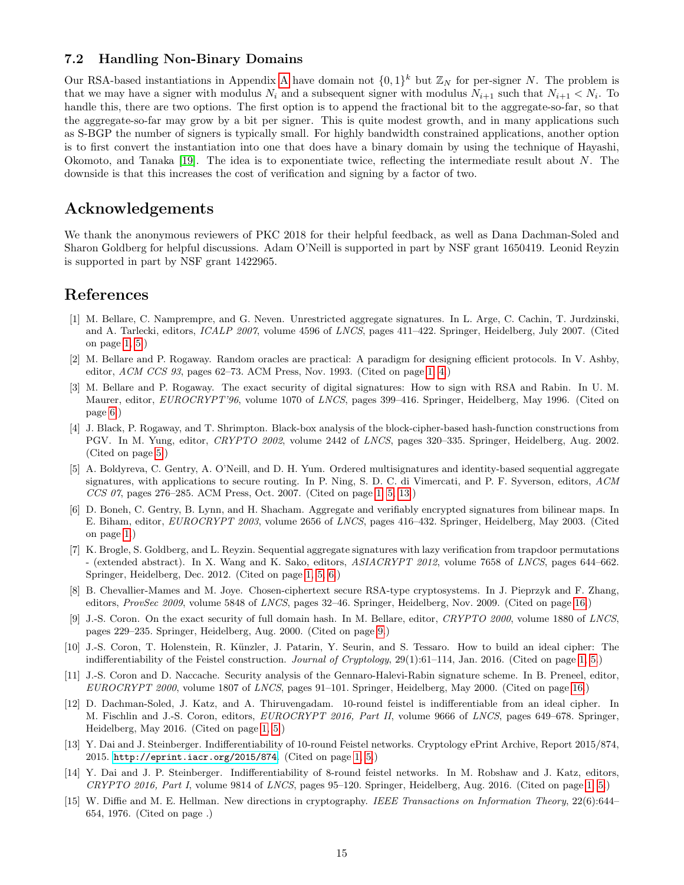#### <span id="page-15-12"></span>7.2 Handling Non-Binary Domains

Our RSA-based instantiations in [A](#page-16-8)ppendix A have domain not  $\{0,1\}^k$  but  $\mathbb{Z}_N$  for per-signer N. The problem is that we may have a signer with modulus  $N_i$  and a subsequent signer with modulus  $N_{i+1}$  such that  $N_{i+1} < N_i$ . To handle this, there are two options. The first option is to append the fractional bit to the aggregate-so-far, so that the aggregate-so-far may grow by a bit per signer. This is quite modest growth, and in many applications such as S-BGP the number of signers is typically small. For highly bandwidth constrained applications, another option is to first convert the instantiation into one that does have a binary domain by using the technique of Hayashi, Okomoto, and Tanaka [\[19\]](#page-16-12). The idea is to exponentiate twice, reflecting the intermediate result about N. The downside is that this increases the cost of verification and signing by a factor of two.

### Acknowledgements

We thank the anonymous reviewers of PKC 2018 for their helpful feedback, as well as Dana Dachman-Soled and Sharon Goldberg for helpful discussions. Adam O'Neill is supported in part by NSF grant 1650419. Leonid Reyzin is supported in part by NSF grant 1422965.

# References

- <span id="page-15-2"></span>[1] M. Bellare, C. Namprempre, and G. Neven. Unrestricted aggregate signatures. In L. Arge, C. Cachin, T. Jurdzinski, and A. Tarlecki, editors, ICALP 2007, volume 4596 of LNCS, pages 411–422. Springer, Heidelberg, July 2007. (Cited on page [1,](#page-0-1) [5.](#page-5-0))
- <span id="page-15-4"></span>[2] M. Bellare and P. Rogaway. Random oracles are practical: A paradigm for designing efficient protocols. In V. Ashby, editor,  $ACM$  CCS 93, pages 62–73. ACM Press, Nov. 1993. (Cited on page [1,](#page-0-1) [4.](#page-4-0))
- <span id="page-15-10"></span>[3] M. Bellare and P. Rogaway. The exact security of digital signatures: How to sign with RSA and Rabin. In U. M. Maurer, editor, EUROCRYPT'96, volume 1070 of LNCS, pages 399–416. Springer, Heidelberg, May 1996. (Cited on page [6.](#page-6-2))
- <span id="page-15-9"></span>[4] J. Black, P. Rogaway, and T. Shrimpton. Black-box analysis of the block-cipher-based hash-function constructions from PGV. In M. Yung, editor, CRYPTO 2002, volume 2442 of LNCS, pages 320–335. Springer, Heidelberg, Aug. 2002. (Cited on page [5.](#page-5-0))
- <span id="page-15-1"></span>[5] A. Boldyreva, C. Gentry, A. O'Neill, and D. H. Yum. Ordered multisignatures and identity-based sequential aggregate signatures, with applications to secure routing. In P. Ning, S. D. C. di Vimercati, and P. F. Syverson, editors, ACM CCS 07, pages 276–285. ACM Press, Oct. 2007. (Cited on page [1,](#page-0-1) [5,](#page-5-0) [13.](#page-13-1))
- <span id="page-15-0"></span>[6] D. Boneh, C. Gentry, B. Lynn, and H. Shacham. Aggregate and verifiably encrypted signatures from bilinear maps. In E. Biham, editor, EUROCRYPT 2003, volume 2656 of LNCS, pages 416–432. Springer, Heidelberg, May 2003. (Cited on page [1.](#page-0-1))
- <span id="page-15-3"></span>[7] K. Brogle, S. Goldberg, and L. Reyzin. Sequential aggregate signatures with lazy verification from trapdoor permutations - (extended abstract). In X. Wang and K. Sako, editors, ASIACRYPT 2012, volume 7658 of LNCS, pages 644–662. Springer, Heidelberg, Dec. 2012. (Cited on page [1,](#page-0-1) [5,](#page-5-0) [6.](#page-6-2))
- <span id="page-15-13"></span>[8] B. Chevallier-Mames and M. Joye. Chosen-ciphertext secure RSA-type cryptosystems. In J. Pieprzyk and F. Zhang, editors, ProvSec 2009, volume 5848 of LNCS, pages 32–46. Springer, Heidelberg, Nov. 2009. (Cited on page [16.](#page-16-13))
- <span id="page-15-11"></span>[9] J.-S. Coron. On the exact security of full domain hash. In M. Bellare, editor, CRYPTO 2000, volume 1880 of LNCS, pages 229–235. Springer, Heidelberg, Aug. 2000. (Cited on page [9.](#page-9-1))
- <span id="page-15-5"></span>[10] J.-S. Coron, T. Holenstein, R. Künzler, J. Patarin, Y. Seurin, and S. Tessaro. How to build an ideal cipher: The indifferentiability of the Feistel construction. *Journal of Cryptology*, 29(1):61–114, Jan. 2016. (Cited on page [1,](#page-0-1) [5.](#page-5-0))
- <span id="page-15-14"></span>[11] J.-S. Coron and D. Naccache. Security analysis of the Gennaro-Halevi-Rabin signature scheme. In B. Preneel, editor, EUROCRYPT 2000, volume 1807 of LNCS, pages 91–101. Springer, Heidelberg, May 2000. (Cited on page [16.](#page-16-13))
- <span id="page-15-6"></span>[12] D. Dachman-Soled, J. Katz, and A. Thiruvengadam. 10-round feistel is indifferentiable from an ideal cipher. In M. Fischlin and J.-S. Coron, editors, EUROCRYPT 2016, Part II, volume 9666 of LNCS, pages 649–678. Springer, Heidelberg, May 2016. (Cited on page [1,](#page-0-1) [5.](#page-5-0))
- <span id="page-15-7"></span>[13] Y. Dai and J. Steinberger. Indifferentiability of 10-round Feistel networks. Cryptology ePrint Archive, Report 2015/874, 2015. <http://eprint.iacr.org/2015/874>. (Cited on page [1,](#page-0-1) [5.](#page-5-0))
- <span id="page-15-8"></span>[14] Y. Dai and J. P. Steinberger. Indifferentiability of 8-round feistel networks. In M. Robshaw and J. Katz, editors, CRYPTO 2016, Part I, volume 9814 of LNCS, pages 95–120. Springer, Heidelberg, Aug. 2016. (Cited on page [1,](#page-0-1) [5.](#page-5-0))
- [15] W. Diffie and M. E. Hellman. New directions in cryptography. IEEE Transactions on Information Theory, 22(6):644– 654, 1976. (Cited on page .)